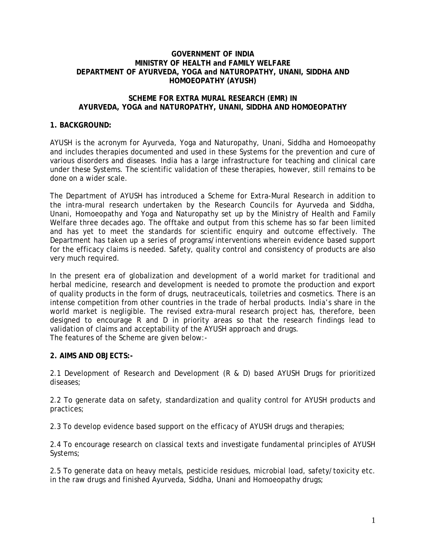### **GOVERNMENT OF INDIA MINISTRY OF HEALTH and FAMILY WELFARE DEPARTMENT OF AYURVEDA, YOGA and NATUROPATHY, UNANI, SIDDHA AND HOMOEOPATHY (AYUSH)**

### **SCHEME FOR EXTRA MURAL RESEARCH (EMR) IN AYURVEDA, YOGA and NATUROPATHY, UNANI, SIDDHA AND HOMOEOPATHY**

# **1. BACKGROUND:**

AYUSH is the acronym for Ayurveda, Yoga and Naturopathy, Unani, Siddha and Homoeopathy and includes therapies documented and used in these Systems for the prevention and cure of various disorders and diseases. India has a large infrastructure for teaching and clinical care under these Systems. The scientific validation of these therapies, however, still remains to be done on a wider scale.

The Department of AYUSH has introduced a Scheme for Extra-Mural Research in addition to the intra-mural research undertaken by the Research Councils for Ayurveda and Siddha, Unani, Homoeopathy and Yoga and Naturopathy set up by the Ministry of Health and Family Welfare three decades ago. The offtake and output from this scheme has so far been limited and has yet to meet the standards for scientific enquiry and outcome effectively. The Department has taken up a series of programs/interventions wherein evidence based support for the efficacy claims is needed. Safety, quality control and consistency of products are also very much required.

In the present era of globalization and development of a world market for traditional and herbal medicine, research and development is needed to promote the production and export of quality products in the form of drugs, neutraceuticals, toiletries and cosmetics. There is an intense competition from other countries in the trade of herbal products. India's share in the world market is negligible. The revised extra-mural research project has, therefore, been designed to encourage R and D in priority areas so that the research findings lead to validation of claims and acceptability of the AYUSH approach and drugs. The features of the Scheme are given below:-

# **2. AIMS AND OBJECTS:-**

2.1 Development of Research and Development (R & D) based AYUSH Drugs for prioritized diseases;

2.2 To generate data on safety, standardization and quality control for AYUSH products and practices;

2.3 To develop evidence based support on the efficacy of AYUSH drugs and therapies;

2.4 To encourage research on classical texts and investigate fundamental principles of AYUSH Systems;

2.5 To generate data on heavy metals, pesticide residues, microbial load, safety/toxicity etc. in the raw drugs and finished Ayurveda, Siddha, Unani and Homoeopathy drugs;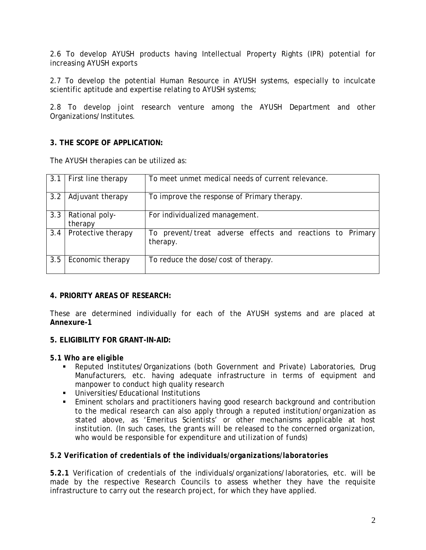2.6 To develop AYUSH products having Intellectual Property Rights (IPR) potential for increasing AYUSH exports

2.7 To develop the potential Human Resource in AYUSH systems, especially to inculcate scientific aptitude and expertise relating to AYUSH systems;

2.8 To develop joint research venture among the AYUSH Department and other Organizations/Institutes.

# **3. THE SCOPE OF APPLICATION:**

The AYUSH therapies can be utilized as:

| 3.1 | First line therapy        | To meet unmet medical needs of current relevance.                     |  |  |  |  |
|-----|---------------------------|-----------------------------------------------------------------------|--|--|--|--|
| 3.2 | Adjuvant therapy          | To improve the response of Primary therapy.                           |  |  |  |  |
| 3.3 | Rational poly-<br>therapy | For individualized management.                                        |  |  |  |  |
| 3.4 | Protective therapy        | To prevent/treat adverse effects and reactions to Primary<br>therapy. |  |  |  |  |
| 3.5 | Economic therapy          | To reduce the dose/cost of therapy.                                   |  |  |  |  |

# **4. PRIORITY AREAS OF RESEARCH:**

These are determined individually for each of the AYUSH systems and are placed at **Annexure-1**

# **5. ELIGIBILITY FOR GRANT-IN-AID:**

*5.1 Who are eligible* 

- Reputed Institutes/Organizations (both Government and Private) Laboratories, Drug Manufacturers, etc. having adequate infrastructure in terms of equipment and manpower to conduct high quality research
- Universities/Educational Institutions
- Eminent scholars and practitioners having good research background and contribution to the medical research can also apply through a reputed institution/organization as stated above, as 'Emeritus Scientists' or other mechanisms applicable at host institution. (*In such cases, the grants will be released to the concerned organization, who would be responsible for expenditure and utilization of funds*)

# *5.2 Verification of credentials of the individuals/organizations/laboratories*

*5.2.1* Verification of credentials of the individuals/organizations/laboratories, etc. will be made by the respective Research Councils to assess whether they have the requisite infrastructure to carry out the research project, for which they have applied.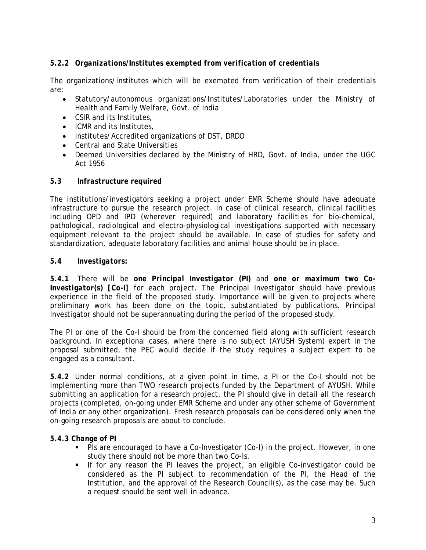# *5.2.2 Organizations/Institutes exempted from verification of credentials*

The organizations/institutes which will be exempted from verification of their credentials are:

- Statutory/autonomous organizations/Institutes/Laboratories under the Ministry of Health and Family Welfare, Govt. of India
- CSIR and its Institutes,
- ICMR and its Institutes,
- Institutes/Accredited organizations of DST, DRDO
- Central and State Universities
- Deemed Universities declared by the Ministry of HRD, Govt. of India, under the UGC Act 1956

# *5.3 Infrastructure required*

The institutions/investigators seeking a project under EMR Scheme should have adequate infrastructure to pursue the research project. In case of clinical research, clinical facilities including OPD and IPD (wherever required) and laboratory facilities for bio-chemical, pathological, radiological and electro-physiological investigations supported with necessary equipment relevant to the project should be available. In case of studies for safety and standardization, adequate laboratory facilities and animal house should be in place.

# *5.4 Investigators:*

*5.4.1* There will be *one Principal Investigator (PI)* and *one or maximum two Co-Investigator(s) [Co-I]* for each project. The Principal Investigator should have previous experience in the field of the proposed study. Importance will be given to projects where preliminary work has been done on the topic, substantiated by publications. Principal Investigator should not be superannuating during the period of the proposed study.

The PI or one of the Co-I should be from the concerned field along with sufficient research background. In exceptional cases, where there is no subject (AYUSH System) expert in the proposal submitted, the PEC would decide if the study requires a subject expert to be engaged as a consultant.

*5.4.2* Under normal conditions, at a given point in time, a PI or the Co-I should not be implementing more than TWO research projects funded by the Department of AYUSH. While submitting an application for a research project, the PI should give in detail all the research projects (completed, on-going under EMR Scheme and under any other scheme of Government of India or any other organization). Fresh research proposals can be considered only when the on-going research proposals are about to conclude.

# *5.4.3 Change of PI*

- PIs are encouraged to have a Co-Investigator (Co-I) in the project. However, in one study there should not be more than two Co-Is.
- If for any reason the PI leaves the project, an eligible Co-investigator could be considered as the PI subject to recommendation of the PI, the Head of the Institution, and the approval of the Research Council(s), as the case may be. Such a request should be sent well in advance.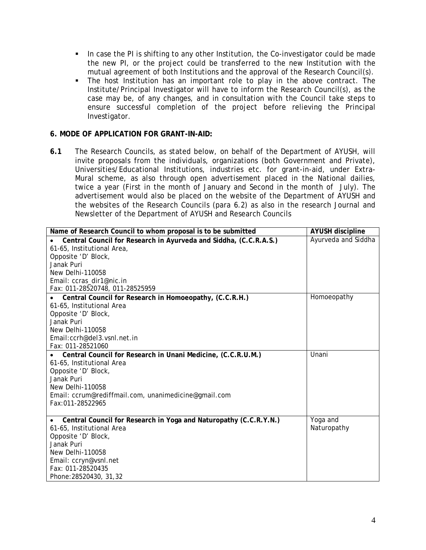- In case the PI is shifting to any other Institution, the Co-investigator could be made the new PI, or the project could be transferred to the new Institution with the mutual agreement of both Institutions and the approval of the Research Council(s).
- The host Institution has an important role to play in the above contract. The Institute/Principal Investigator will have to inform the Research Council(s), as the case may be, of any changes, and in consultation with the Council take steps to ensure successful completion of the project before relieving the Principal Investigator.

# **6. MODE OF APPLICATION FOR GRANT-IN-AID:**

**6.1** The Research Councils, as stated below, on behalf of the Department of AYUSH, will invite proposals from the individuals, organizations (both Government and Private), Universities/Educational Institutions, industries etc. for grant-in-aid, under Extra-Mural scheme, as also through open advertisement placed in the National dailies, twice a year (First in the month of January and Second in the month of July). The advertisement would also be placed on the website of the Department of AYUSH and the websites of the Research Councils (para 6.2) as also in the research Journal and Newsletter of the Department of AYUSH and Research Councils

| Name of Research Council to whom proposal is to be submitted      | <b>AYUSH discipline</b> |
|-------------------------------------------------------------------|-------------------------|
| Central Council for Research in Ayurveda and Siddha, (C.C.R.A.S.) | Ayurveda and Siddha     |
| 61-65, Institutional Area,                                        |                         |
| Opposite 'D' Block,                                               |                         |
| Janak Puri                                                        |                         |
| New Delhi-110058                                                  |                         |
| Email: ccras_dir1@nic.in                                          |                         |
| Fax: 011-28520748, 011-28525959                                   |                         |
| Central Council for Research in Homoeopathy, (C.C.R.H.)           | Homoeopathy             |
| 61-65, Institutional Area                                         |                         |
| Opposite 'D' Block,                                               |                         |
| Janak Puri                                                        |                         |
| New Delhi-110058                                                  |                         |
| Email:ccrh@del3.vsnl.net.in                                       |                         |
| Fax: 011-28521060                                                 |                         |
| Central Council for Research in Unani Medicine, (C.C.R.U.M.)      | Unani                   |
| 61-65, Institutional Area                                         |                         |
| Opposite 'D' Block,                                               |                         |
| Janak Puri                                                        |                         |
| New Delhi-110058                                                  |                         |
| Email: ccrum@rediffmail.com, unanimedicine@gmail.com              |                         |
| Fax:011-28522965                                                  |                         |
| Central Council for Research in Yoga and Naturopathy (C.C.R.Y.N.) | Yoga and                |
| 61-65, Institutional Area                                         | Naturopathy             |
| Opposite 'D' Block,                                               |                         |
| Janak Puri                                                        |                         |
| New Delhi-110058                                                  |                         |
| Email: ccryn@vsnl.net                                             |                         |
| Fax: 011-28520435                                                 |                         |
| Phone: 28520430, 31, 32                                           |                         |
|                                                                   |                         |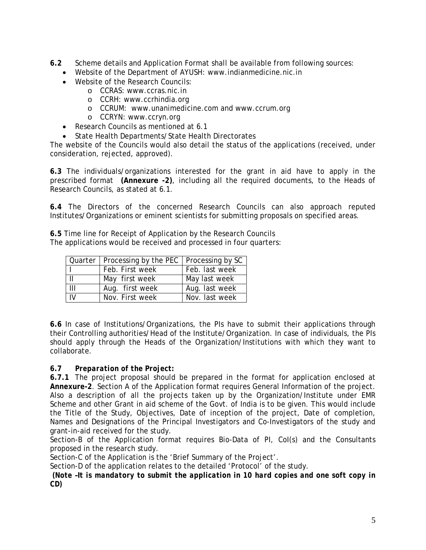- **6.2** Scheme details and Application Format shall be available from following sources:
	- Website of the Department of AYUSH: www.indianmedicine.nic.in
	- Website of the Research Councils:
		- o CCRAS: www.ccras.nic.in
		- o CCRH: www.ccrhindia.org
		- o CCRUM: www.unanimedicine.com and www.ccrum.org
		- o CCRYN: www.ccryn.org
	- Research Councils as mentioned at 6.1
	- State Health Departments/State Health Directorates

The website of the Councils would also detail the status of the applications (received, under consideration, rejected, approved).

**6.3** The individuals/organizations interested for the grant in aid have to apply in the prescribed format **(Annexure -2)**, including all the required documents, to the Heads of Research Councils, as stated at 6.1.

**6.4** The Directors of the concerned Research Councils can also approach reputed Institutes/Organizations or eminent scientists for submitting proposals on specified areas.

**6.5** Time line for Receipt of Application by the Research Councils The applications would be received and processed in four quarters:

|                | Quarter   Processing by the PEC   Processing by SC |                |
|----------------|----------------------------------------------------|----------------|
|                | Feb. First week                                    | Feb. last week |
|                | May first week                                     | May last week  |
| $\mathbf{III}$ | Aug. first week                                    | Aug. last week |
| IV             | Nov. First week                                    | Nov. last week |

**6.6** In case of Institutions/Organizations, the PIs have to submit their applications through their Controlling authorities/Head of the Institute/Organization. In case of individuals, the PIs should apply through the Heads of the Organization/Institutions with which they want to collaborate.

# **6.7** *Preparation of the Project:*

**6.7.1** The project proposal should be prepared in the format for application enclosed at **Annexure-2**. Section A of the Application format requires General Information of the project. Also a description of all the projects taken up by the Organization/Institute under EMR Scheme and other Grant in aid scheme of the Govt. of India is to be given. This would include the Title of the Study, Objectives, Date of inception of the project, Date of completion, Names and Designations of the Principal Investigators and Co-Investigators of the study and grant-in-aid received for the study.

Section-B of the Application format requires Bio-Data of PI, CoI(s) and the Consultants proposed in the research study.

Section-C of the Application is the 'Brief Summary of the Project'.

Section-D of the application relates to the detailed 'Protocol' of the study.

*(Note –It is mandatory to submit the application in 10 hard copies and one soft copy in CD)*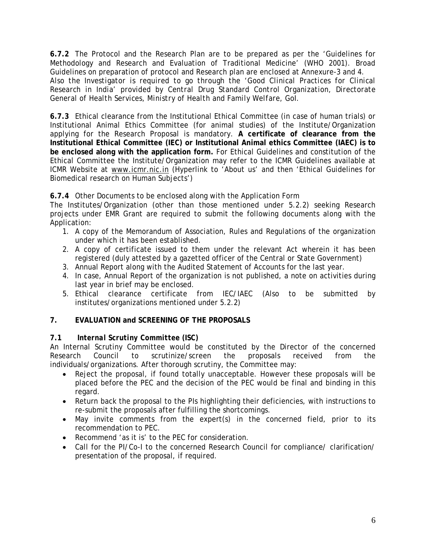**6.7.2** The Protocol and the Research Plan are to be prepared as per the 'Guidelines for Methodology and Research and Evaluation of Traditional Medicine' (WHO 2001). Broad Guidelines on preparation of protocol and Research plan are enclosed at Annexure-3 and 4. *Also the Investigator is required to go through the 'Good Clinical Practices for Clinical Research in India' provided by Central Drug Standard Control Organization, Directorate General of Health Services, Ministry of Health and Family Welfare, GoI.*

**6.7.3** Ethical clearance from the Institutional Ethical Committee (in case of human trials) or Institutional Animal Ethics Committee (for animal studies) of the Institute/Organization applying for the Research Proposal is mandatory. **A certificate of clearance from the Institutional Ethical Committee (IEC) or Institutional Animal ethics Committee (IAEC) is to be enclosed along with the application form.** For Ethical Guidelines and constitution of the Ethical Committee the Institute/Organization may refer to the ICMR Guidelines available at ICMR Website at [www.icmr.nic.in](http://www.icmr.nic.in/) (Hyperlink to 'About us' and then 'Ethical Guidelines for Biomedical research on Human Subjects')

# **6.7.4** Other Documents to be enclosed along with the Application Form

The Institutes/Organization (other than those mentioned under 5.2.2) seeking Research projects under EMR Grant are required to submit the following documents along with the Application:

- 1. A copy of the Memorandum of Association, Rules and Regulations of the organization under which it has been established.
- 2. A copy of certificate issued to them under the relevant Act wherein it has been registered (duly attested by a gazetted officer of the Central or State Government)
- 3. Annual Report along with the Audited Statement of Accounts for the last year.
- 4. In case, Annual Report of the organization is not published, a note on activities during last year in brief may be enclosed.
- 5. Ethical clearance certificate from IEC/IAEC (Also to be submitted by institutes/organizations mentioned under 5.2.2)

# **7. EVALUATION and SCREENING OF THE PROPOSALS**

# **7.1** *Internal Scrutiny Committee (ISC)*

An Internal Scrutiny Committee would be constituted by the Director of the concerned Research Council to scrutinize/screen the proposals received from the individuals/organizations. After thorough scrutiny, the Committee may:

- Reject the proposal, if found totally unacceptable. However these proposals will be placed before the PEC and the decision of the PEC would be final and binding in this regard.
- Return back the proposal to the PIs highlighting their deficiencies, with instructions to re-submit the proposals after fulfilling the shortcomings.
- May invite comments from the expert(s) in the concerned field, prior to its recommendation to PEC.
- Recommend 'as it is' to the PEC for consideration.
- Call for the PI/Co-I to the concerned Research Council for compliance/ clarification/ presentation of the proposal, if required.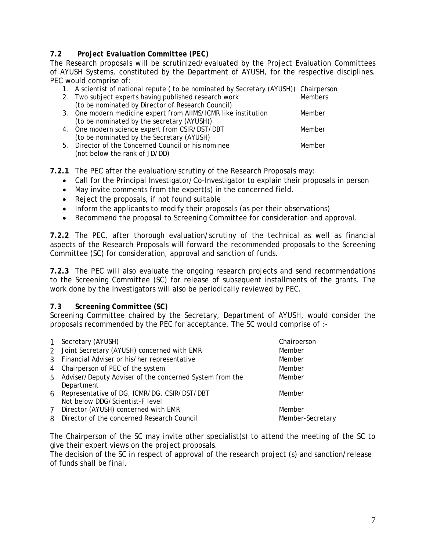# **7.2** *Project Evaluation Committee (PEC)*

The Research proposals will be scrutinized/evaluated by the Project Evaluation Committees of AYUSH Systems, constituted by the Department of AYUSH, for the respective disciplines. PEC would comprise of:

|  | 1. A scientist of national repute (to be nominated by Secretary (AYUSH)) Chairperson |                |
|--|--------------------------------------------------------------------------------------|----------------|
|  | 2. Two subject experts having published research work                                | <b>Members</b> |
|  | (to be nominated by Director of Research Council)                                    |                |
|  | 3. One modern medicine expert from AIIMS/ICMR like institution                       | Member         |
|  | (to be nominated by the secretary (AYUSH))                                           |                |
|  | 4. One modern science expert from CSIR/DST/DBT                                       | Member         |
|  | (to be nominated by the Secretary (AYUSH)                                            |                |
|  | 5. Director of the Concerned Council or his nominee                                  | Member         |

- (not below the rank of JD/DD)
- **7.2.1** The PEC after the evaluation/scrutiny of the Research Proposals may:
	- Call for the Principal Investigator/Co-Investigator to explain their proposals in person
	- May invite comments from the expert(s) in the concerned field.
	- Reject the proposals, if not found suitable
	- Inform the applicants to modify their proposals (as per their observations)
	- Recommend the proposal to Screening Committee for consideration and approval.

**7.2.2** The PEC, after thorough evaluation/scrutiny of the technical as well as financial aspects of the Research Proposals will forward the recommended proposals to the Screening Committee (SC) for consideration, approval and sanction of funds.

**7.2.3** The PEC will also evaluate the ongoing research projects and send recommendations to the Screening Committee (SC) for release of subsequent installments of the grants. The work done by the Investigators will also be periodically reviewed by PEC.

# *7.3 Screening Committee (SC)*

Screening Committee chaired by the Secretary, Department of AYUSH, would consider the proposals recommended by the PEC for acceptance. The SC would comprise of :-

| $\mathbf{1}$ | Secretary (AYUSH)                                         | Chairperson      |
|--------------|-----------------------------------------------------------|------------------|
|              | 2 Joint Secretary (AYUSH) concerned with EMR              | Member           |
|              | 3 Financial Adviser or his/her representative             | Member           |
|              | 4 Chairperson of PEC of the system                        | Member           |
|              | 5 Adviser/Deputy Adviser of the concerned System from the | Member           |
|              | Department                                                |                  |
|              | 6 Representative of DG, ICMR/DG, CSIR/DST/DBT             | Member           |
|              | Not below DDG/Scientist-F level                           |                  |
| $7^{\circ}$  | Director (AYUSH) concerned with EMR                       | Member           |
| 8            | Director of the concerned Research Council                | Member-Secretary |
|              |                                                           |                  |

The Chairperson of the SC may invite other specialist(s) to attend the meeting of the SC to give their expert views on the project proposals.

The decision of the SC in respect of approval of the research project (s) and sanction/release of funds shall be final.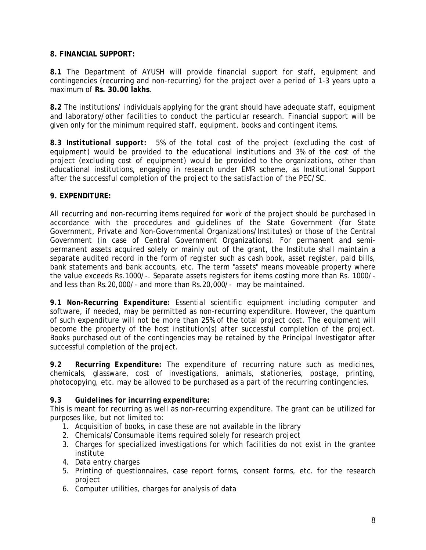# **8. FINANCIAL SUPPORT:**

**8.1** The Department of AYUSH will provide financial support for staff, equipment and contingencies (recurring and non-recurring) for the project over a period of 1-3 years upto a maximum of **Rs. 30.00 lakhs**.

**8.2** The institutions/ individuals applying for the grant should have adequate staff, equipment and laboratory/other facilities to conduct the particular research. Financial support will be given only for the minimum required staff, equipment, books and contingent items.

**8.3** *Institutional support:* 5% of the total cost of the project *(excluding the cost of equipment)* would be provided to the educational institutions and 3% of the cost of the project *(excluding cost of equipment)* would be provided to the organizations, other than educational institutions, engaging in research under EMR scheme, as Institutional Support after the successful completion of the project to the satisfaction of the PEC/SC.

# **9. EXPENDITURE:**

All recurring and non-recurring items required for work of the project should be purchased in accordance with the procedures and guidelines of the State Government (for State Government, Private and Non-Governmental Organizations/Institutes) or those of the Central Government (in case of Central Government Organizations). For permanent and semipermanent assets acquired solely or mainly out of the grant, the Institute shall maintain a separate audited record in the form of register such as cash book, asset register, paid bills, bank statements and bank accounts, etc. The term "assets" means moveable property where the value exceeds Rs.1000/-. Separate assets registers for items costing more than Rs. 1000/ and less than Rs.20,000/- and more than Rs.20,000/- may be maintained.

*9.1 Non-Recurring Expenditure:* Essential scientific equipment including computer and software, if needed, may be permitted as non-recurring expenditure. However, the quantum of such expenditure will not be more than 25% of the total project cost. The equipment will become the property of the host institution(s) after successful completion of the project. Books purchased out of the contingencies may be retained by the Principal Investigator after successful completion of the project.

*9.2 Recurring Expenditure:* The expenditure of recurring nature such as medicines, chemicals, glassware, cost of investigations, animals, stationeries, postage, printing, photocopying, etc. may be allowed to be purchased as a part of the recurring contingencies.

# *9.3 Guidelines for incurring expenditure:*

This is meant for recurring as well as non-recurring expenditure. The grant can be utilized for purposes like, but not limited to:

- 1. Acquisition of books, in case these are not available in the library
- 2. Chemicals/Consumable items required solely for research project
- 3. Charges for specialized investigations for which facilities do not exist in the grantee institute
- 4. Data entry charges
- 5. Printing of questionnaires, case report forms, consent forms, etc. for the research project
- 6. Computer utilities, charges for analysis of data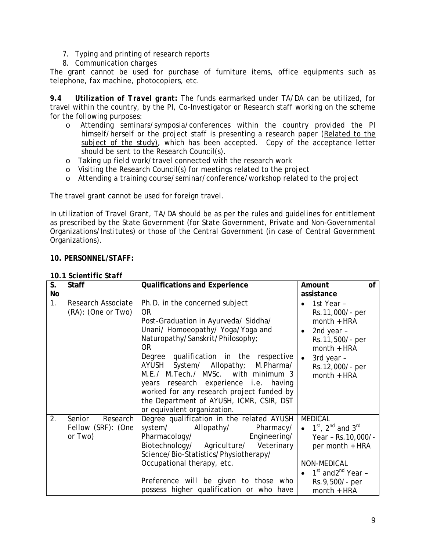- 7. Typing and printing of research reports
- 8. Communication charges

The grant cannot be used for purchase of furniture items, office equipments such as telephone, fax machine, photocopiers, etc.

*9.4**Utilization of Travel grant:* The funds earmarked under TA/DA can be utilized, for travel within the country, by the PI, Co-Investigator or Research staff working on the scheme for the following purposes:

- o Attending seminars/symposia/conferences within the country provided the PI himself/herself or the project staff is presenting a research paper (Related to the subject of the study), which has been accepted. Copy of the acceptance letter should be sent to the Research Council(s).
- o Taking up field work/travel connected with the research work
- o Visiting the Research Council(s) for meetings related to the project
- o Attending a training course/seminar/conference/workshop related to the project

The travel grant cannot be used for foreign travel.

In utilization of Travel Grant, TA/DA should be as per the rules and guidelines for entitlement as prescribed by the State Government (for State Government, Private and Non-Governmental Organizations/Institutes) or those of the Central Government (in case of Central Government Organizations).

# **10. PERSONNEL/STAFF:**

| S. | <b>Staff</b>                                        | <b>Qualifications and Experience</b>                                                                                                                                                                                                                                                                                                                                                                                                                        | of<br>Amount                                                                                                                                                                                 |
|----|-----------------------------------------------------|-------------------------------------------------------------------------------------------------------------------------------------------------------------------------------------------------------------------------------------------------------------------------------------------------------------------------------------------------------------------------------------------------------------------------------------------------------------|----------------------------------------------------------------------------------------------------------------------------------------------------------------------------------------------|
| No |                                                     |                                                                                                                                                                                                                                                                                                                                                                                                                                                             | assistance                                                                                                                                                                                   |
| 1. | Research Associate<br>(RA): (One or Two)            | Ph.D. in the concerned subject<br><b>OR</b><br>Post-Graduation in Ayurveda/ Siddha/<br>Unani/ Homoeopathy/ Yoga/Yoga and<br>Naturopathy/Sanskrit/Philosophy;<br>OR.<br>Degree qualification in the respective<br>AYUSH System/ Allopathy; M.Pharma/<br>M.E./ M.Tech./ MVSc. with minimum 3<br>years research experience i.e. having<br>worked for any research project funded by<br>the Department of AYUSH, ICMR, CSIR, DST<br>or equivalent organization. | 1st Year -<br>Rs.11,000/- per<br>$month + HRA$<br>2nd year -<br>$\bullet$<br>Rs. 11, 500/- per<br>$month + HRA$<br>3rd year -<br>Rs.12,000/- per<br>$month + HRA$                            |
| 2. | Senior<br>Research<br>Fellow (SRF): (One<br>or Two) | Degree qualification in the related AYUSH<br>system/<br>Allopathy/<br>Pharmacy/<br>Engineering/<br>Pharmacology/<br>Biotechnology/ Agriculture/ Veterinary<br>Science/Bio-Statistics/Physiotherapy/<br>Occupational therapy, etc.<br>Preference will be given to those who<br>possess higher qualification or who have                                                                                                                                      | <b>MEDICAL</b><br>• $1^{st}$ , $2^{nd}$ and $3^{rd}$<br>Year - Rs. 10, 000/-<br>per month + HRA<br>NON-MEDICAL<br>1 <sup>st</sup> and2 <sup>nd</sup> Year -<br>Rs.9,500/- per<br>month + HRA |

# **10.1** *Scientific Staff*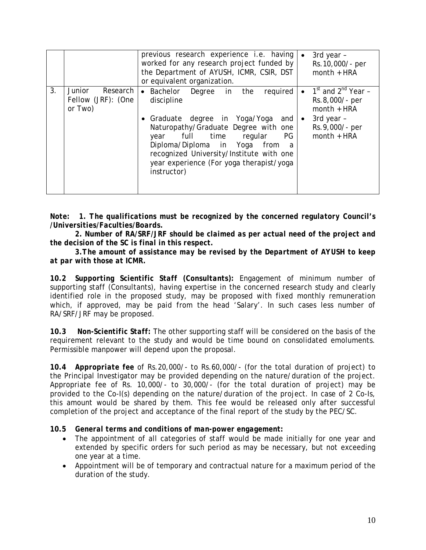|                |                                                     | previous research experience i.e. having<br>worked for any research project funded by<br>the Department of AYUSH, ICMR, CSIR, DST<br>or equivalent organization.                                                                                                                                                                 |                        | 3rd year -<br>Rs. 10,000/- per<br>$month + HRA$                                                                                |
|----------------|-----------------------------------------------------|----------------------------------------------------------------------------------------------------------------------------------------------------------------------------------------------------------------------------------------------------------------------------------------------------------------------------------|------------------------|--------------------------------------------------------------------------------------------------------------------------------|
| 3 <sub>1</sub> | Junior<br>Research<br>Fellow (JRF): (One<br>or Two) | Bachelor Degree in the<br>required<br>$\bullet$<br>discipline<br>• Graduate degree in Yoga/Yoga<br>and<br>Naturopathy/Graduate Degree with one<br>full time regular<br>PG<br>year<br>Diploma/Diploma in Yoga<br>from<br>a<br>recognized University/Institute with one<br>year experience (For yoga therapist/yoga<br>instructor) | $\bullet$<br>$\bullet$ | 1 <sup>st</sup> and 2 <sup>nd</sup> Year -<br>Rs.8,000/- per<br>$month + HRA$<br>3rd year -<br>Rs.9,000/- per<br>$month + HRA$ |

*Note: 1. The qualifications must be recognized by the concerned regulatory Council's /Universities/Faculties/Boards.* 

*2. Number of RA/SRF/JRF should be claimed as per actual need of the project and the decision of the SC is final in this respect.* 

*3.The amount of assistance may be revised by the Department of AYUSH to keep at par with those at ICMR.* 

**10.2** *Supporting Scientific Staff (Consultants):* Engagement of minimum number of supporting staff (Consultants), having expertise in the concerned research study and clearly identified role in the proposed study, may be proposed with fixed monthly remuneration which, if approved, may be paid from the head 'Salary'. In such cases less number of RA/SRF/JRF may be proposed.

**10.3** *Non-Scientific Staff:* The other supporting staff will be considered on the basis of the requirement relevant to the study and would be time bound on consolidated emoluments. Permissible manpower will depend upon the proposal.

**10.4** *Appropriate fee* of Rs.20,000/- to Rs.60,000/- (for the total duration of project) to the Principal Investigator may be provided depending on the nature/duration of the project. Appropriate fee of Rs. 10,000/- to 30,000/- (for the total duration of project) may be provided to the Co-I(s) depending on the nature/duration of the project. In case of 2 Co-Is, this amount would be shared by them. This fee would be released only after successful completion of the project and acceptance of the final report of the study by the PEC/SC.

**10.5** *General terms and conditions of man-power engagement:* 

- The appointment of all categories of staff would be made initially for one year and extended by specific orders for such period as may be necessary, but not exceeding one year at a time.
- Appointment will be of temporary and contractual nature for a maximum period of the duration of the study.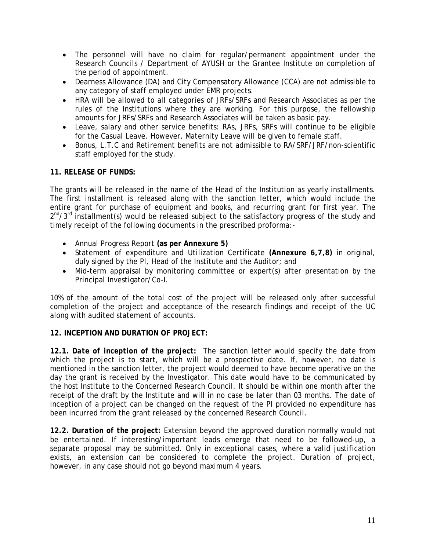- The personnel will have no claim for regular/permanent appointment under the Research Councils / Department of AYUSH or the Grantee Institute on completion of the period of appointment.
- Dearness Allowance (DA) and City Compensatory Allowance (CCA) are not admissible to any category of staff employed under EMR projects.
- HRA will be allowed to all categories of JRFs/SRFs and Research Associates as per the rules of the Institutions where they are working. For this purpose, the fellowship amounts for JRFs/SRFs and Research Associates will be taken as basic pay.
- Leave, salary and other service benefits: RAs, JRFs, SRFs will continue to be eligible for the Casual Leave. However, Maternity Leave will be given to female staff.
- Bonus, L.T.C and Retirement benefits are not admissible to RA/SRF/JRF/non-scientific staff employed for the study.

# **11. RELEASE OF FUNDS:**

The grants will be released in the name of the Head of the Institution as yearly installments. The first installment is released along with the sanction letter, which would include the entire grant for purchase of equipment and books, and recurring grant for first year. The  $2<sup>nd</sup>/3<sup>rd</sup>$  installment(s) would be released subject to the satisfactory progress of the study and timely receipt of the following documents in the prescribed proforma:-

- Annual Progress Report **(as per Annexure 5)**
- Statement of expenditure and Utilization Certificate **(Annexure 6,7,8)** in original, duly signed by the PI, Head of the Institute and the Auditor; and
- Mid-term appraisal by monitoring committee or expert(s) after presentation by the Principal Investigator/Co-I.

10% of the amount of the total cost of the project will be released only after successful completion of the project and acceptance of the research findings and receipt of the UC along with audited statement of accounts.

# **12. INCEPTION AND DURATION OF PROJECT:**

**12.1***. Date of inception of the project:*The sanction letter would specify the date from which the project is to start, which will be a prospective date. If, however, no date is mentioned in the sanction letter, the project would deemed to have become operative on the day the grant is received by the Investigator. This date would have to be communicated by the host Institute to the Concerned Research Council. It should be within one month after the receipt of the draft by the Institute and will in no case be later than 03 months. The date of inception of a project can be changed on the request of the PI provided no expenditure has been incurred from the grant released by the concerned Research Council.

**12.2***. Duration of the project:* Extension beyond the approved duration normally would not be entertained. If interesting/important leads emerge that need to be followed-up, a separate proposal may be submitted. Only in exceptional cases, where a valid justification exists, an extension can be considered to complete the project. Duration of project, however, in any case should not go beyond maximum 4 years.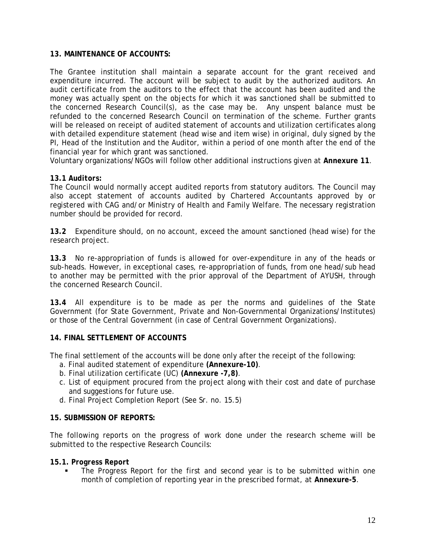# **13. MAINTENANCE OF ACCOUNTS:**

The Grantee institution shall maintain a separate account for the grant received and expenditure incurred. The account will be subject to audit by the authorized auditors. An audit certificate from the auditors to the effect that the account has been audited and the money was actually spent on the objects for which it was sanctioned shall be submitted to the concerned Research Council(s), as the case may be. Any unspent balance must be refunded to the concerned Research Council on termination of the scheme. Further grants will be released on receipt of audited statement of accounts and utilization certificates along with detailed expenditure statement (head wise and item wise) in original, duly signed by the PI, Head of the Institution and the Auditor, within a period of one month after the end of the financial year for which grant was sanctioned.

Voluntary organizations/NGOs will follow other additional instructions given at **Annexure 11**.

# **13.1** *Auditors:*

The Council would normally accept audited reports from statutory auditors. The Council may also accept statement of accounts audited by Chartered Accountants approved by or registered with CAG and/or Ministry of Health and Family Welfare. The necessary registration number should be provided for record.

**13.2** Expenditure should, on no account, exceed the amount sanctioned (head wise) for the research project.

**13.3** No re-appropriation of funds is allowed for over-expenditure in any of the heads or sub-heads. However, in exceptional cases, re-appropriation of funds, from one head/sub head to another may be permitted with the prior approval of the Department of AYUSH, through the concerned Research Council.

**13.4** All expenditure is to be made as per the norms and guidelines of the State Government (for State Government, Private and Non-Governmental Organizations/Institutes) or those of the Central Government (in case of Central Government Organizations).

# **14. FINAL SETTLEMENT OF ACCOUNTS**

The final settlement of the accounts will be done only after the receipt of the following:

- a. Final audited statement of expenditure **(Annexure-10)**.
- b. Final utilization certificate (UC) **(Annexure -7,8)**.
- c. List of equipment procured from the project along with their cost and date of purchase and suggestions for future use.
- d. Final Project Completion Report (See Sr. no. 15.5)

# **15. SUBMISSION OF REPORTS:**

The following reports on the progress of work done under the research scheme will be submitted to the respective Research Councils:

# **15.1***. Progress Report*

 The Progress Report for the first and second year is to be submitted within one month of completion of reporting year in the prescribed format, at **Annexure-5**.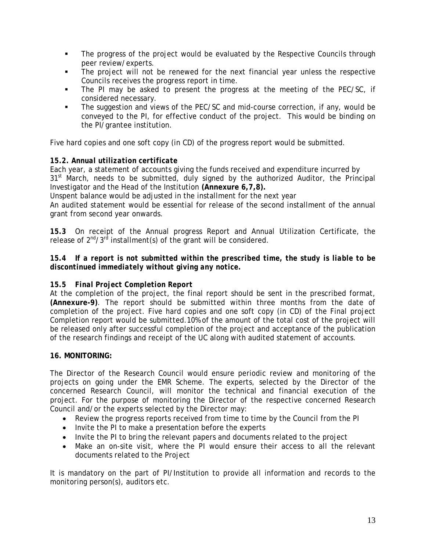- The progress of the project would be evaluated by the Respective Councils through peer review/experts.
- The project will not be renewed for the next financial year unless the respective Councils receives the progress report in time.
- The PI may be asked to present the progress at the meeting of the PEC/SC, if considered necessary.
- The suggestion and views of the PEC/SC and mid-course correction, if any, would be conveyed to the PI, for effective conduct of the project. This would be binding on the PI/grantee institution.

Five hard copies and one soft copy (in CD) of the progress report would be submitted.

# *15.2. Annual utilization certificate*

Each year, a statement of accounts giving the funds received and expenditure incurred by  $31<sup>st</sup>$  March, needs to be submitted, duly signed by the authorized Auditor, the Principal Investigator and the Head of the Institution **(Annexure 6,7,8).**

Unspent balance would be adjusted in the installment for the next year

An audited statement would be essential for release of the second installment of the annual grant from second year onwards.

*15.3* On receipt of the Annual progress Report and Annual Utilization Certificate, the release of  $2^{nd}/3^{rd}$  installment(s) of the grant will be considered.

# *15.4 If a report is not submitted within the prescribed time, the study is liable to be discontinued immediately without giving any notice.*

# *15.5 Final Project Completion Report*

At the completion of the project, the final report should be sent in the prescribed format, **(Annexure-9)**. The report should be submitted within three months from the date of completion of the project. Five hard copies and one soft copy (in CD) of the Final project Completion report would be submitted.10% of the amount of the total cost of the project will be released only after successful completion of the project and acceptance of the publication of the research findings and receipt of the UC along with audited statement of accounts.

# **16. MONITORING:**

The Director of the Research Council would ensure periodic review and monitoring of the projects on going under the EMR Scheme. The experts, selected by the Director of the concerned Research Council, will monitor the technical and financial execution of the project. For the purpose of monitoring the Director of the respective concerned Research Council and/or the experts selected by the Director may:

- Review the progress reports received from time to time by the Council from the PI
- Invite the PI to make a presentation before the experts
- Invite the PI to bring the relevant papers and documents related to the project
- Make an on-site visit, where the PI would ensure their access to all the relevant documents related to the Project

It is mandatory on the part of PI/Institution to provide all information and records to the monitoring person(s), auditors etc.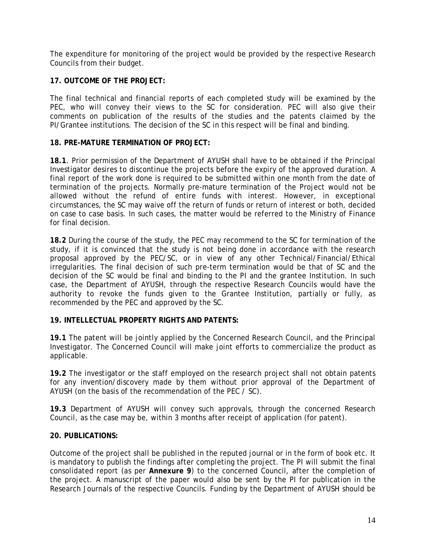The expenditure for monitoring of the project would be provided by the respective Research Councils from their budget.

# **17. OUTCOME OF THE PROJECT:**

The final technical and financial reports of each completed study will be examined by the PEC, who will convey their views to the SC for consideration. PEC will also give their comments on publication of the results of the studies and the patents claimed by the PI/Grantee institutions. The decision of the SC in this respect will be final and binding.

# **18. PRE-MATURE TERMINATION OF PROJECT:**

**18.1**. Prior permission of the Department of AYUSH shall have to be obtained if the Principal Investigator desires to discontinue the projects before the expiry of the approved duration. A final report of the work done is required to be submitted within one month from the date of termination of the projects. Normally pre-mature termination of the Project would not be allowed without the refund of entire funds with interest. However, in exceptional circumstances, the SC may waive off the return of funds or return of interest or both, decided on case to case basis. In such cases, the matter would be referred to the Ministry of Finance for final decision.

**18.2** During the course of the study, the PEC may recommend to the SC for termination of the study, if it is convinced that the study is not being done in accordance with the research proposal approved by the PEC/SC, or in view of any other Technical/Financial/Ethical irregularities. The final decision of such pre-term termination would be that of SC and the decision of the SC would be final and binding to the PI and the grantee Institution. In such case, the Department of AYUSH, through the respective Research Councils would have the authority to revoke the funds given to the Grantee Institution, partially or fully, as recommended by the PEC and approved by the SC.

# **19. INTELLECTUAL PROPERTY RIGHTS AND PATENTS:**

**19.1** The patent will be jointly applied by the Concerned Research Council, and the Principal Investigator. The Concerned Council will make joint efforts to commercialize the product as applicable.

**19.2** The investigator or the staff employed on the research project shall not obtain patents for any invention/discovery made by them without prior approval of the Department of AYUSH (on the basis of the recommendation of the PEC / SC).

**19.3** Department of AYUSH will convey such approvals, through the concerned Research Council, as the case may be, within 3 months after receipt of application (for patent).

# **20. PUBLICATIONS:**

Outcome of the project shall be published in the reputed journal or in the form of book etc. It is mandatory to publish the findings after completing the project. The PI will submit the final consolidated report (as per **Annexure 9**) to the concerned Council, after the completion of the project. A manuscript of the paper would also be sent by the PI for publication in the Research Journals of the respective Councils. Funding by the Department of AYUSH should be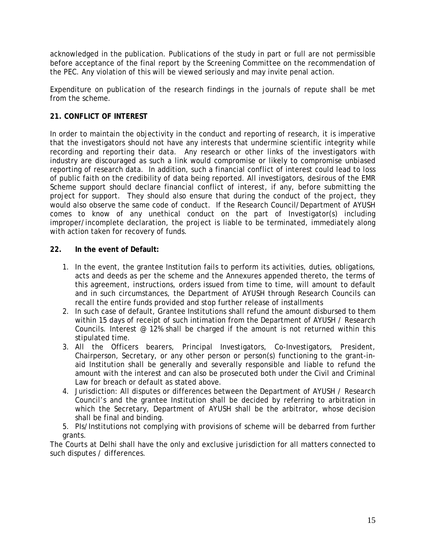acknowledged in the publication. Publications of the study in part or full are not permissible before acceptance of the final report by the Screening Committee on the recommendation of the PEC. Any violation of this will be viewed seriously and may invite penal action.

Expenditure on publication of the research findings in the journals of repute shall be met from the scheme.

# **21. CONFLICT OF INTEREST**

In order to maintain the objectivity in the conduct and reporting of research, it is imperative that the investigators should not have any interests that undermine scientific integrity while recording and reporting their data. Any research or other links of the investigators with industry are discouraged as such a link would compromise or likely to compromise unbiased reporting of research data. In addition, such a financial conflict of interest could lead to loss of public faith on the credibility of data being reported. All investigators, desirous of the EMR Scheme support should declare financial conflict of interest, if any, before submitting the project for support. They should also ensure that during the conduct of the project, they would also observe the same code of conduct. If the Research Council/Department of AYUSH comes to know of any unethical conduct on the part of Investigator(s) including improper/incomplete declaration, the project is liable to be terminated, immediately along with action taken for recovery of funds.

### **22. In the event of Default:**

- 1. In the event, the grantee Institution fails to perform its activities, duties, obligations, acts and deeds as per the scheme and the Annexures appended thereto, the terms of this agreement, instructions, orders issued from time to time, will amount to default and in such circumstances, the Department of AYUSH through Research Councils can recall the entire funds provided and stop further release of installments
- 2. In such case of default, Grantee Institutions shall refund the amount disbursed to them within 15 days of receipt of such intimation from the Department of AYUSH / Research Councils. Interest  $@$  12% shall be charged if the amount is not returned within this stipulated time.
- 3. All the Officers bearers, Principal Investigators, Co-Investigators, President, Chairperson, Secretary, or any other person or person(s) functioning to the grant-inaid Institution shall be generally and severally responsible and liable to refund the amount with the interest and can also be prosecuted both under the Civil and Criminal Law for breach or default as stated above.
- 4. Jurisdiction: All disputes or differences between the Department of AYUSH / Research Council's and the grantee Institution shall be decided by referring to arbitration in which the Secretary, Department of AYUSH shall be the arbitrator, whose decision shall be final and binding.
- 5. PIs/Institutions not complying with provisions of scheme will be debarred from further grants.

The Courts at Delhi shall have the only and exclusive jurisdiction for all matters connected to such disputes / differences.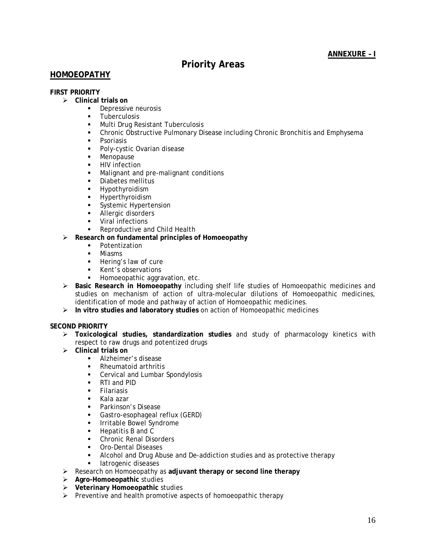# **ANNEXURE – I**

# **Priority Areas**

# **HOMOEOPATHY**

### **FIRST PRIORITY**

- ¾ **Clinical trials on** 
	- **Depressive neurosis**
	- **Tuberculosis**
	- **Multi Drug Resistant Tuberculosis**
	- Chronic Obstructive Pulmonary Disease including Chronic Bronchitis and Emphysema
	- **•** Psoriasis
	- **Poly-cystic Ovarian disease**
	- **Menopause**
	- **HIV** infection
	- **Malignant and pre-malignant conditions**
	- **-** Diabetes mellitus
	- **-** Hypothyroidism
	- **-** Hyperthyroidism
	- **Systemic Hypertension**
	- **Allergic disorders**
	- **Viral infections**
	- **Reproductive and Child Health**
- ¾ **Research on fundamental principles of Homoeopathy** 
	- **•** Potentization
	- **Miasms**
	- **Hering's law of cure**
	- **Kent's observations**
	- Homoeopathic aggravation, etc.
- ¾ **Basic Research in Homoeopathy** including shelf life studies of Homoeopathic medicines and studies on mechanism of action of ultra-molecular dilutions of Homoeopathic medicines, identification of mode and pathway of action of Homoeopathic medicines.
- ¾ **In vitro studies and laboratory studies** on action of Homoeopathic medicines

### **SECOND PRIORITY**

- ¾ **Toxicological studies, standardization studies** and study of pharmacology kinetics with respect to raw drugs and potentized drugs
- ¾ **Clinical trials on** 
	- **Alzheimer's disease**
	- Rheumatoid arthritis
	- **Cervical and Lumbar Spondylosis**
	- **RTI** and PID
	- **Filariasis**
	- Kala azar
	- **Parkinson's Disease**
	- **Gastro-esophageal reflux (GERD)**
	- **Induced Bowel Syndrome**
	- Hepatitis B and C
	- **Chronic Renal Disorders**
	- **Cro-Dental Diseases**
	- Alcohol and Drug Abuse and De-addiction studies and as protective therapy
	- **Iatrogenic diseases**
- ¾ Research on Homoeopathy as **adjuvant therapy or second line therapy**
- ¾ **Agro-Homoeopathic** studies
- ¾ **Veterinary Homoeopathic** studies
- $\triangleright$  Preventive and health promotive aspects of homoeopathic therapy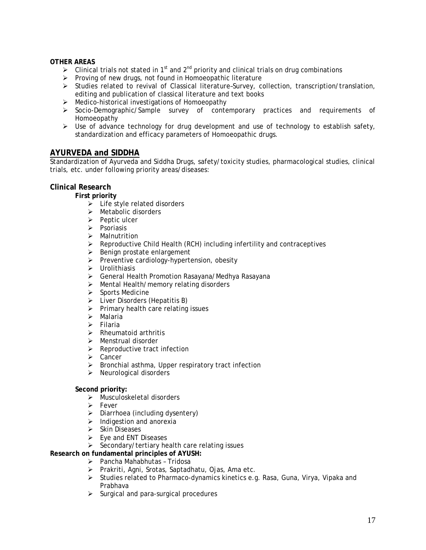### **OTHER AREAS**

- $\triangleright$  Clinical trials not stated in 1<sup>st</sup> and 2<sup>nd</sup> priority and clinical trials on drug combinations
- $\triangleright$  Proving of new drugs, not found in Homoeopathic literature
- ¾ Studies related to revival of Classical literature–Survey, collection, transcription/translation, editing and publication of classical literature and text books
- ¾ Medico-historical investigations of Homoeopathy
- ¾ Socio-Demographic/Sample survey of contemporary practices and requirements of Homoeopathy
- $\triangleright$  Use of advance technology for drug development and use of technology to establish safety, standardization and efficacy parameters of Homoeopathic drugs.

### **AYURVEDA and SIDDHA**

Standardization of Ayurveda and Siddha Drugs, safety/toxicity studies, pharmacological studies, clinical trials, etc. under following priority areas/diseases:

### **Clinical Research**

**First priority** 

- $\triangleright$  Life style related disorders
- $\triangleright$  Metabolic disorders
- $\triangleright$  Peptic ulcer
- $\triangleright$  Psoriasis
- $\triangleright$  Malnutrition
- $\triangleright$  Reproductive Child Health (RCH) including infertility and contraceptives
- $\triangleright$  Benign prostate enlargement
- ¾ Preventive cardiology-hypertension, obesity
- $\triangleright$  Urolithiasis
- ¾ General Health Promotion Rasayana/Medhya Rasayana
- $\triangleright$  Mental Health/memory relating disorders
- $\triangleright$  Sports Medicine
- $\triangleright$  Liver Disorders (Hepatitis B)
- $\triangleright$  Primary health care relating issues
- ¾ Malaria
- $\triangleright$  Filaria
- $\triangleright$  Rheumatoid arthritis
- ¾ Menstrual disorder
- $\triangleright$  Reproductive tract infection
- ¾ Cancer
- $\triangleright$  Bronchial asthma, Upper respiratory tract infection
- $\triangleright$  Neurological disorders

#### **Second priority:**

- ¾ Musculoskeletal disorders
- $\triangleright$  Fever
- $\triangleright$  Diarrhoea (including dysentery)
- $\triangleright$  Indigestion and anorexia
- $\triangleright$  Skin Diseases
- $\triangleright$  Eye and ENT Diseases
- $\triangleright$  Secondary/tertiary health care relating issues

### **Research on fundamental principles of AYUSH:**

- ¾ Pancha Mahabhutas Tridosa
- ¾ Prakriti, Agni, Srotas, Saptadhatu, Ojas, Ama etc.
- ¾ Studies related to Pharmaco-dynamics kinetics e.g. Rasa, Guna, Virya, Vipaka and Prabhava
- $\triangleright$  Surgical and para-surgical procedures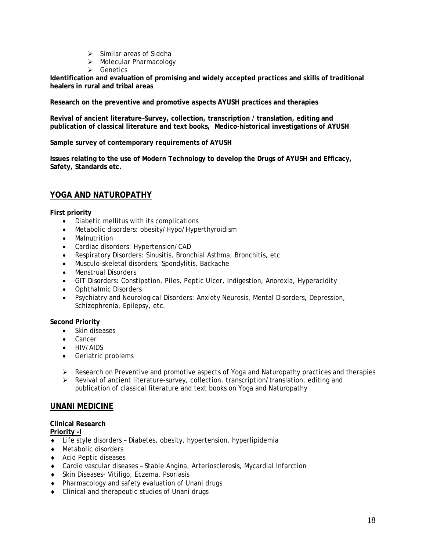- $\triangleright$  Similar areas of Siddha
- ¾ Molecular Pharmacology
- $\triangleright$  Genetics

**Identification and evaluation of promising and widely accepted practices and skills of traditional healers in rural and tribal areas** 

**Research on the preventive and promotive aspects AYUSH practices and therapies** 

**Revival of ancient literature–Survey, collection, transcription / translation, editing and publication of classical literature and text books, Medico-historical investigations of AYUSH** 

### **Sample survey of contemporary requirements of AYUSH**

**Issues relating to the use of Modern Technology to develop the Drugs of AYUSH and Efficacy, Safety, Standards etc.** 

# **YOGA AND NATUROPATHY**

**First priority** 

- Diabetic mellitus with its complications
- Metabolic disorders: obesity/Hypo/Hyperthyroidism
- Malnutrition
- Cardiac disorders: Hypertension/CAD
- Respiratory Disorders: Sinusitis, Bronchial Asthma, Bronchitis, etc
- Musculo-skeletal disorders, Spondylitis, Backache
- Menstrual Disorders
- GIT Disorders: Constipation, Piles, Peptic Ulcer, Indigestion, Anorexia, Hyperacidity
- Ophthalmic Disorders
- Psychiatry and Neurological Disorders: Anxiety Neurosis, Mental Disorders, Depression, Schizophrenia, Epilepsy, etc.

#### **Second Priority**

- Skin diseases
- Cancer
- HIV/AIDS
- Geriatric problems
- $\triangleright$  Research on Preventive and promotive aspects of Yoga and Naturopathy practices and therapies
- $\triangleright$  Revival of ancient literature-survey, collection, transcription/translation, editing and publication of classical literature and text books on Yoga and Naturopathy

### **UNANI MEDICINE**

**Clinical Research** 

**Priority -I**

- ♦ Life style disorders Diabetes, obesity, hypertension, hyperlipidemia
- ♦ Metabolic disorders
- ♦ Acid Peptic diseases
- ♦ Cardio vascular diseases Stable Angina, Arteriosclerosis, Mycardial Infarction
- ♦ Skin Diseases- Vitiligo, Eczema, Psoriasis
- ♦ Pharmacology and safety evaluation of Unani drugs
- ♦ Clinical and therapeutic studies of Unani drugs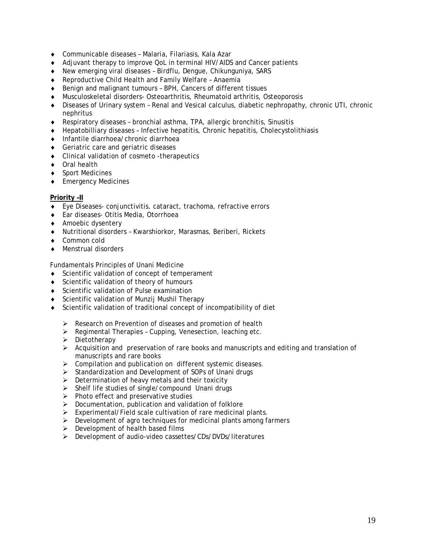- ♦ Communicable diseases Malaria, Filariasis, Kala Azar
- ♦ Adjuvant therapy to improve QoL in terminal HIV/AIDS and Cancer patients
- ♦ New emerging viral diseases Birdflu, Dengue, Chikunguniya, SARS
- ♦ Reproductive Child Health and Family Welfare Anaemia
- ♦ Benign and malignant tumours BPH, Cancers of different tissues
- ♦ Musculoskeletal disorders- Osteoarthritis, Rheumatoid arthritis, Osteoporosis
- ♦ Diseases of Urinary system Renal and Vesical calculus, diabetic nephropathy, chronic UTI, chronic nephritus
- ♦ Respiratory diseases bronchial asthma, TPA, allergic bronchitis, Sinusitis
- ♦ Hepatobilliary diseases Infective hepatitis, Chronic hepatitis, Cholecystolithiasis
- ♦ Infantile diarrhoea/chronic diarrhoea
- ♦ Geriatric care and geriatric diseases
- ♦ Clinical validation of cosmeto -therapeutics
- ♦ Oral health
- ♦ Sport Medicines
- ♦ Emergency Medicines

#### **Priority –II**

- ♦ Eye Diseases- conjunctivitis, cataract, trachoma, refractive errors
- Ear diseases- Otitis Media, Otorrhoea
- ♦ Amoebic dysentery
- Nutritional disorders Kwarshiorkor, Marasmas, Beriberi, Rickets
- ♦ Common cold
- Menstrual disorders ♦

Fundamentals Principles of Unani Medicine

- Scientific validation of concept of temperament
- ♦ Scientific validation of theory of humours
- ♦ Scientific validation of Pulse examination
- ♦ Scientific validation of Munzij Mushil Therapy
- Scientific validation of traditional concept of incompatibility of diet
	- ¾ Research on Pr evention of diseases and promotion of health
	- ¾ Regimental Therapies Cupping, Venesection, leaching etc.
	- $\triangleright$  Dietotherapy
	- $\triangleright$  Acquisition and preservation of rare books and manuscripts and editing and translation of manuscripts and rare books
	- $\triangleright$  Compilation and publication on different systemic diseases.
	- $\triangleright$  Standardization and Development of SOPs of Unani drugs
	- $\triangleright$  Determination of heavy metals and their toxicity
	- $\triangleright$  Shelf life studies of single/compound Unani drugs
	- $\triangleright$  Photo effect and preservative studies
	- $\triangleright$  Documentation, publication and validation of folklore
	- $\triangleright$  Experimental/Field scale cultivation of rare medicinal plants.
	- $\triangleright$  Development of agro techniques for medicinal plants among farmers
	- $\triangleright$  Development of health based films
	- ¾ Development of audio-video cassettes/CDs/DVDs/literatures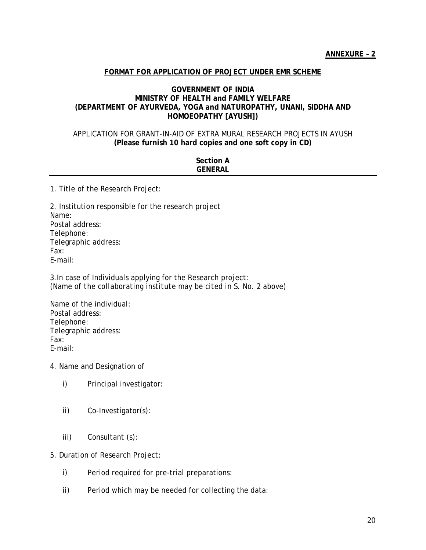# **FORMAT FOR APPLICATION OF PROJECT UNDER EMR SCHEME**

### **GOVERNMENT OF INDIA MINISTRY OF HEALTH and FAMILY WELFARE (DEPARTMENT OF AYURVEDA, YOGA and NATUROPATHY, UNANI, SIDDHA AND HOMOEOPATHY [AYUSH])**

### APPLICATION FOR GRANT-IN-AID OF EXTRA MURAL RESEARCH PROJECTS IN AYUSH **(Please furnish 10 hard copies and one soft copy in CD)**

| <b>Section A</b><br><b>GENERAL</b> |
|------------------------------------|
|                                    |

1. Title of the Research Project:

2. Institution responsible for the research project Name: Postal address: Telephone: Telegraphic address: Fax: E-mail:

3.In case of Individuals applying for the Research project: *(Name of the collaborating institute may be cited in S. No. 2 above)* 

Name of the individual: Postal address: Telephone: Telegraphic address: Fax: E-mail:

- 4. Name and Designation of
	- i) Principal investigator:
	- ii) Co-Investigator(s):
	- iii) Consultant (s):

5. Duration of Research Project:

- i) Period required for pre-trial preparations:
- ii) Period which may be needed for collecting the data: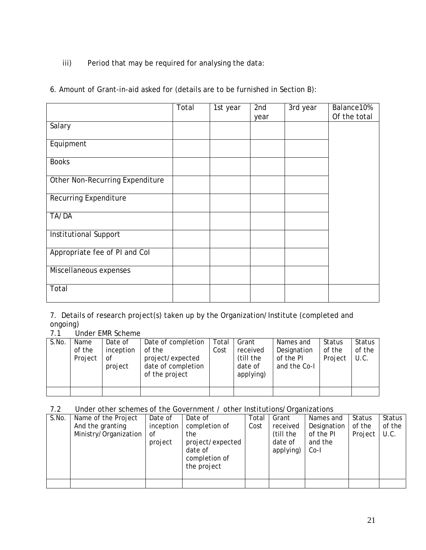iii) Period that may be required for analysing the data:

|  | 6. Amount of Grant-in-aid asked for (details are to be furnished in Section B): |
|--|---------------------------------------------------------------------------------|
|--|---------------------------------------------------------------------------------|

|                                 | Total | 1st year | 2nd  | 3rd year | Balance10%   |
|---------------------------------|-------|----------|------|----------|--------------|
| Salary                          |       |          | year |          | Of the total |
|                                 |       |          |      |          |              |
| Equipment                       |       |          |      |          |              |
| <b>Books</b>                    |       |          |      |          |              |
| Other Non-Recurring Expenditure |       |          |      |          |              |
| Recurring Expenditure           |       |          |      |          |              |
| TA/DA                           |       |          |      |          |              |
| Institutional Support           |       |          |      |          |              |
| Appropriate fee of PI and Col   |       |          |      |          |              |
| Miscellaneous expenses          |       |          |      |          |              |
| Total                           |       |          |      |          |              |

7. Details of research project(s) taken up by the Organization/Institute (completed and ongoing)

| Under EMR Scheme<br>7.1 |  |
|-------------------------|--|
|-------------------------|--|

| S.No. | Name    | Date of   | Date of completion | Total | Grant     | Names and    | Status  | Status |
|-------|---------|-----------|--------------------|-------|-----------|--------------|---------|--------|
|       | of the  | inception | of the             | Cost  | received  | Designation  | of the  | of the |
|       | Project | οf        | project/expected   |       | (till the | of the PI    | Project | U.C.   |
|       |         | project   | date of completion |       | date of   | and the Co-I |         |        |
|       |         |           | of the project     |       | applying) |              |         |        |
|       |         |           |                    |       |           |              |         |        |
|       |         |           |                    |       |           |              |         |        |

7.2 Under other schemes of the Government / other Institutions/Organizations

| Name of the Project   | Date of   | Date of          | Total       | Grant     | Names and   | Status  | Status |
|-----------------------|-----------|------------------|-------------|-----------|-------------|---------|--------|
| And the granting      | inception | completion of    | Cost        | received  | Designation | of the  | of the |
| Ministry/Organization | of        | the              |             | (till the | of the PI   | Project | U.C.   |
|                       | project   | project/expected |             | date of   | and the     |         |        |
|                       |           | date of          |             | applying) | $Co-I$      |         |        |
|                       |           | completion of    |             |           |             |         |        |
|                       |           |                  |             |           |             |         |        |
|                       |           |                  |             |           |             |         |        |
|                       |           |                  |             |           |             |         |        |
|                       |           |                  | the project |           |             |         |        |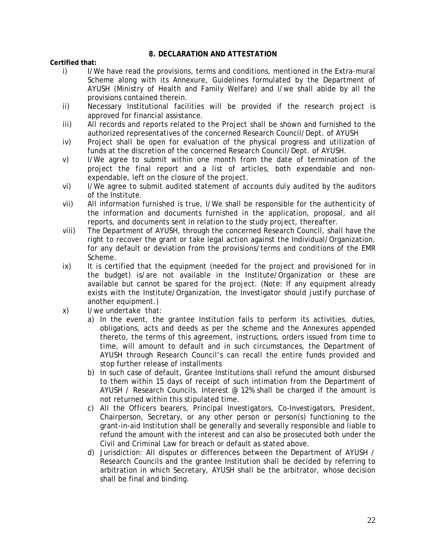# **8. DECLARATION AND ATTESTATION**

**Certified that:** 

- i) I/We have read the provisions, terms and conditions, mentioned in the Extra-mural Scheme along with its Annexure, Guidelines formulated by the Department of AYUSH (Ministry of Health and Family Welfare) and I/we shall abide by all the provisions contained therein.
- ii) Necessary Institutional facilities will be provided if the research project is approved for financial assistance.
- iii) All records and reports related to the Project shall be shown and furnished to the authorized representatives of the concerned Research Council/Dept. of AYUSH
- iv) Project shall be open for evaluation of the physical progress and utilization of funds at the discretion of the concerned Research Council/Dept. of AYUSH.
- v) I/We agree to submit within one month from the date of termination of the project the final report and a list of articles, both expendable and nonexpendable, left on the closure of the project.
- vi) I/We agree to submit audited statement of accounts duly audited by the auditors of the Institute.
- vii) All information furnished is true, I/We shall be responsible for the authenticity of the information and documents furnished in the application, proposal, and all reports, and documents sent in relation to the study project, thereafter.
- viii) The Department of AYUSH, through the concerned Research Council, shall have the right to recover the grant or take legal action against the Individual/Organization, for any default or deviation from the provisions/terms and conditions of the EMR Scheme.
- ix) It is certified that the equipment (needed for the project and provisioned for in the budget) is/are not available in the Institute/Organization or these are available but cannot be spared for the project. (Note: If any equipment already exists with the Institute/Organization, the Investigator should justify purchase of another equipment.)
- x) I/we undertake that:
	- a) In the event, the grantee Institution fails to perform its activities, duties, obligations, acts and deeds as per the scheme and the Annexures appended thereto, the terms of this agreement, instructions, orders issued from time to time, will amount to default and in such circumstances, the Department of AYUSH through Research Council's can recall the entire funds provided and stop further release of installments
	- b) In such case of default, Grantee Institutions shall refund the amount disbursed to them within 15 days of receipt of such intimation from the Department of AYUSH / Research Councils. Interest  $\varnothing$  12% shall be charged if the amount is not returned within this stipulated time.
	- c) All the Officers bearers, Principal Investigators, Co-Investigators, President, Chairperson, Secretary, or any other person or person(s) functioning to the grant-in-aid Institution shall be generally and severally responsible and liable to refund the amount with the interest and can also be prosecuted both under the Civil and Criminal Law for breach or default as stated above.
	- d) Jurisdiction: All disputes or differences between the Department of AYUSH / Research Councils and the grantee Institution shall be decided by referring to arbitration in which Secretary, AYUSH shall be the arbitrator, whose decision shall be final and binding.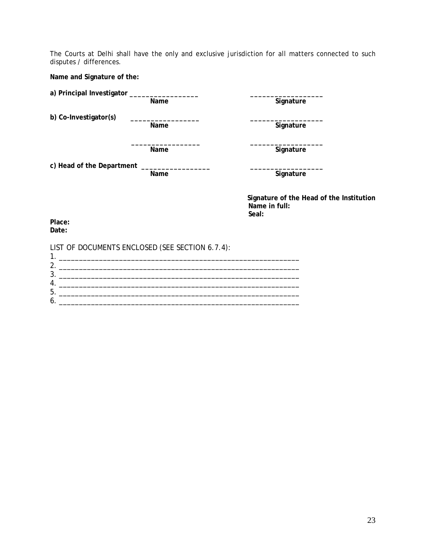The Courts at Delhi shall have the only and exclusive jurisdiction for all matters connected to such disputes / differences.

**Name and Signature of the:** 

**a) Principal Investigator \_\_\_\_\_\_\_\_\_\_\_\_\_\_\_\_\_ \_\_\_\_\_\_\_\_\_\_\_\_\_\_\_\_\_\_** 

**b**) Co-Investigator(s)

**Signature** 

Name Signature

**\_\_\_\_\_\_\_\_\_\_\_\_\_\_\_\_\_ \_\_\_\_\_\_\_\_\_\_\_\_\_\_\_\_\_\_**  Name Signature

**c) Head of the Department \_\_\_\_\_\_\_\_\_\_\_\_\_\_\_\_\_ \_\_\_\_\_\_\_\_\_\_\_\_\_\_\_\_\_\_** 

**Signature** 

**Signature of the Head of the Institution Name in full: Seal:** 

**Place: Date:** 

LIST OF DOCUMENTS ENCLOSED (SEE SECTION 6.7.4): 1. \_\_\_\_\_\_\_\_\_\_\_\_\_\_\_\_\_\_\_\_\_\_\_\_\_\_\_\_\_\_\_\_\_\_\_\_\_\_\_\_\_\_\_\_\_\_\_\_\_\_\_\_\_\_\_\_\_\_\_\_ 2. \_\_\_\_\_\_\_\_\_\_\_\_\_\_\_\_\_\_\_\_\_\_\_\_\_\_\_\_\_\_\_\_\_\_\_\_\_\_\_\_\_\_\_\_\_\_\_\_\_\_\_\_\_\_\_\_\_\_\_\_ 3. \_\_\_\_\_\_\_\_\_\_\_\_\_\_\_\_\_\_\_\_\_\_\_\_\_\_\_\_\_\_\_\_\_\_\_\_\_\_\_\_\_\_\_\_\_\_\_\_\_\_\_\_\_\_\_\_\_\_\_\_ 4. \_\_\_\_\_\_\_\_\_\_\_\_\_\_\_\_\_\_\_\_\_\_\_\_\_\_\_\_\_\_\_\_\_\_\_\_\_\_\_\_\_\_\_\_\_\_\_\_\_\_\_\_\_\_\_\_\_\_\_\_ 5. \_\_\_\_\_\_\_\_\_\_\_\_\_\_\_\_\_\_\_\_\_\_\_\_\_\_\_\_\_\_\_\_\_\_\_\_\_\_\_\_\_\_\_\_\_\_\_\_\_\_\_\_\_\_\_\_\_\_\_\_ 6. \_\_\_\_\_\_\_\_\_\_\_\_\_\_\_\_\_\_\_\_\_\_\_\_\_\_\_\_\_\_\_\_\_\_\_\_\_\_\_\_\_\_\_\_\_\_\_\_\_\_\_\_\_\_\_\_\_\_\_\_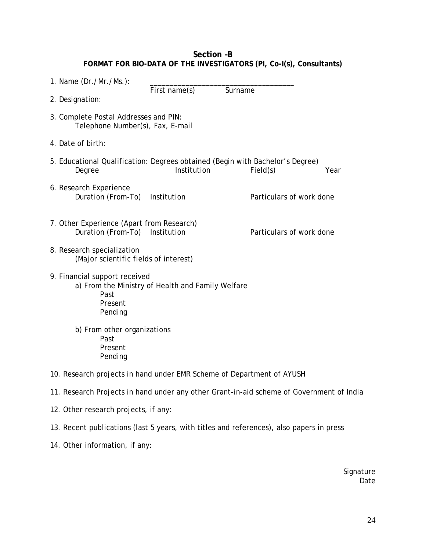# **Section –B FORMAT FOR BIO-DATA OF THE INVESTIGATORS (PI, Co-I(s), Consultants)**

| 1. Name (Dr./Mr./Ms.):                                                                   |                                                   |                          |      |  |  |
|------------------------------------------------------------------------------------------|---------------------------------------------------|--------------------------|------|--|--|
| 2. Designation:                                                                          | First name(s)                                     | Surname                  |      |  |  |
| 3. Complete Postal Addresses and PIN:<br>Telephone Number(s), Fax, E-mail                |                                                   |                          |      |  |  |
| 4. Date of birth:                                                                        |                                                   |                          |      |  |  |
| 5. Educational Qualification: Degrees obtained (Begin with Bachelor's Degree)<br>Degree  | Institution                                       | Field(s)                 | Year |  |  |
| 6. Research Experience<br>Duration (From-To)                                             | Institution                                       | Particulars of work done |      |  |  |
| 7. Other Experience (Apart from Research)<br>Duration (From-To)                          | Institution                                       | Particulars of work done |      |  |  |
| 8. Research specialization<br>(Major scientific fields of interest)                      |                                                   |                          |      |  |  |
| 9. Financial support received<br>Past<br>Present<br>Pending                              | a) From the Ministry of Health and Family Welfare |                          |      |  |  |
| b) From other organizations<br>Past<br>Present<br>Pending                                |                                                   |                          |      |  |  |
| 10. Research projects in hand under EMR Scheme of Department of AYUSH                    |                                                   |                          |      |  |  |
| 11. Research Projects in hand under any other Grant-in-aid scheme of Government of India |                                                   |                          |      |  |  |
| 12. Other research projects, if any:                                                     |                                                   |                          |      |  |  |
| 13. Recent publications (last 5 years, with titles and references), also papers in press |                                                   |                          |      |  |  |

14. Other information, if any:

Signature Date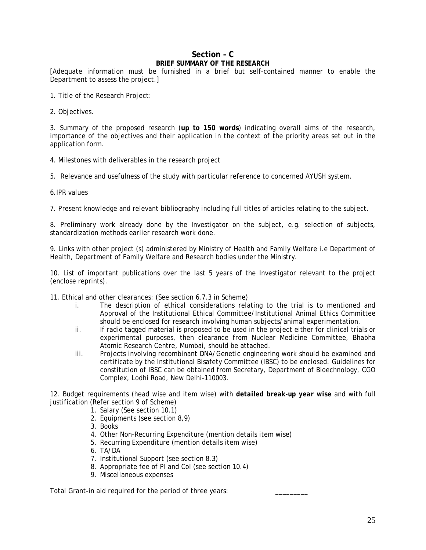# **Section – C BRIEF SUMMARY OF THE RESEARCH**

[Adequate information must be furnished in a brief but self-contained manner to enable the Department to assess the project.]

- 1. Title of the Research Project:
- 2. Objectives.

3. Summary of the proposed research (**up to 150 words**) indicating overall aims of the research, importance of the objectives and their application in the context of the priority areas set out in the application form.

- 4. Milestones with deliverables in the research project
- 5. Relevance and usefulness of the study with particular reference to concerned AYUSH system.
- 6.IPR values

7. Present knowledge and relevant bibliography including full titles of articles relating to the subject.

8. Preliminary work already done by the Investigator on the subject, e.g. selection of subjects, standardization methods earlier research work done.

9. Links with other project (s) administered by Ministry of Health and Family Welfare i.e Department of Health, Department of Family Welfare and Research bodies under the Ministry.

10. List of important publications over the last 5 years of the Investigator relevant to the project (enclose reprints).

11. Ethical and other clearances: (See section 6.7.3 in Scheme)

- i. The description of ethical considerations relating to the trial is to mentioned and Approval of the Institutional Ethical Committee/Institutional Animal Ethics Committee should be enclosed for research involving human subjects/animal experimentation.
- ii. If radio tagged material is proposed to be used in the project either for clinical trials or experimental purposes, then clearance from Nuclear Medicine Committee, Bhabha Atomic Research Centre, Mumbai, should be attached.
- iii. Projects involving recombinant DNA/Genetic engineering work should be examined and certificate by the Institutional Bisafety Committee (IBSC) to be enclosed. Guidelines for constitution of IBSC can be obtained from Secretary, Department of Bioechnology, CGO Complex, Lodhi Road, New Delhi-110003.

12. Budget requirements (head wise and item wise) with *detailed break-up year wise* and with full justification (Refer section 9 of Scheme)

- 1. Salary (See section 10.1)
	- 2. Equipments (see section 8,9)
	- 3. Books
	- 4. Other Non-Recurring Expenditure (mention details item wise)
	- 5. Recurring Expenditure (mention details item wise)
	- 6. TA/DA
	- 7. Institutional Support (see section 8.3)
	- 8. Appropriate fee of PI and CoI (see section 10.4)
	- 9. Miscellaneous expenses

Total Grant-in aid required for the period of three years: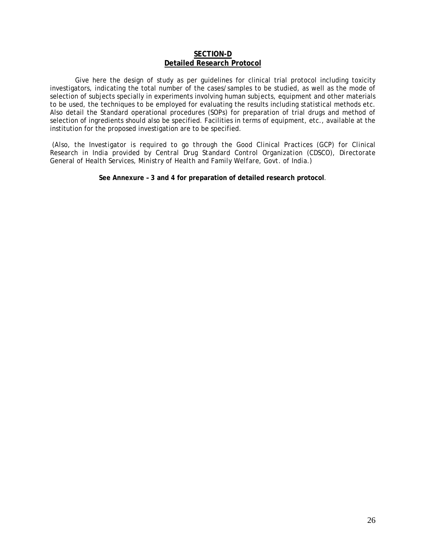#### **SECTION-D Detailed Research Protocol**

Give here the design of study as per guidelines for clinical trial protocol including toxicity investigators, indicating the total number of the cases/samples to be studied, as well as the mode of selection of subjects specially in experiments involving human subjects, equipment and other materials to be used, the techniques to be employed for evaluating the results including statistical methods etc. Also detail the Standard operational procedures (SOPs) for preparation of trial drugs and method of selection of ingredients should also be specified. Facilities in terms of equipment, etc., available at the institution for the proposed investigation are to be specified.

*(Also, the Investigator is required to go through the Good Clinical Practices (GCP) for Clinical Research in India provided by Central Drug Standard Control Organization (CDSCO), Directorate General of Health Services, Ministry of Health and Family Welfare, Govt. of India.)* 

**See Annexure – 3 and 4 for preparation of detailed research protocol**.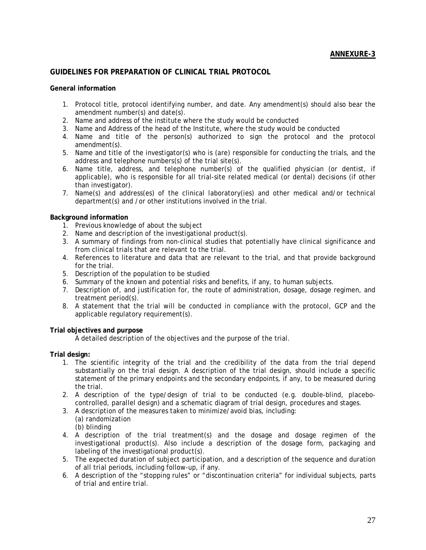### **GUIDELINES FOR PREPARATION OF CLINICAL TRIAL PROTOCOL**

#### **General information**

- 1. Protocol title, protocol identifying number, and date. Any amendment(s) should also bear the amendment number(s) and date(s).
- 2. Name and address of the institute where the study would be conducted
- 3. Name and Address of the head of the Institute, where the study would be conducted
- 4. Name and title of the person(s) authorized to sign the protocol and the protocol amendment(s).
- 5. Name and title of the investigator(s) who is (are) responsible for conducting the trials, and the address and telephone numbers(s) of the trial site(s).
- 6. Name title, address, and telephone number(s) of the qualified physician (or dentist, if applicable), who is responsible for all trial-site related medical (or dental) decisions (if other than investigator).
- 7. Name(s) and address(es) of the clinical laboratory(ies) and other medical and/or technical department(s) and /or other institutions involved in the trial.

### **Background information**

- 1. Previous knowledge of about the subject
- 2. Name and description of the investigational product(s).
- 3. A summary of findings from non-clinical studies that potentially have clinical significance and from clinical trials that are relevant to the trial.
- 4. References to literature and data that are relevant to the trial, and that provide background for the trial.
- 5. Description of the population to be studied
- 6. Summary of the known and potential risks and benefits, if any, to human subjects.
- 7. Description of, and justification for, the route of administration, dosage, dosage regimen, and treatment period(s).
- 8. A statement that the trial will be conducted in compliance with the protocol, GCP and the applicable regulatory requirement(s).

#### **Trial objectives and purpose**

A detailed description of the objectives and the purpose of the trial.

### **Trial design***:*

- 1. The scientific integrity of the trial and the credibility of the data from the trial depend substantially on the trial design. A description of the trial design, should include a specific statement of the primary endpoints and the secondary endpoints, if any, to be measured during the trial.
- 2. A description of the type/design of trial to be conducted (e.g. double-blind, placebocontrolled, parallel design) and a schematic diagram of trial design, procedures and stages.
- 3. A description of the measures taken to minimize/avoid bias, including: (a) randomization (b) blinding
- 4. A description of the trial treatment(s) and the dosage and dosage regimen of the investigational product(s). Also include a description of the dosage form, packaging and labeling of the investigational product(s).
- 5. The expected duration of subject participation, and a description of the sequence and duration of all trial periods, including follow-up, if any.
- 6. A description of the "stopping rules" or "discontinuation criteria" for individual subjects, parts of trial and entire trial.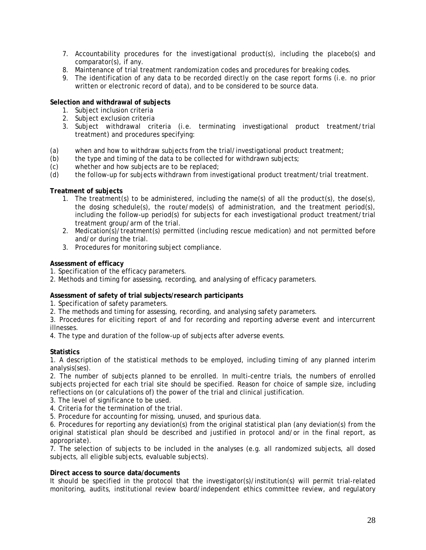- 7. Accountability procedures for the investigational product(s), including the placebo(s) and comparator(s), if any.
- 8. Maintenance of trial treatment randomization codes and procedures for breaking codes.
- 9. The identification of any data to be recorded directly on the case report forms (i.e. no prior written or electronic record of data), and to be considered to be source data.

### **Selection and withdrawal of subjects**

- 1. Subject inclusion criteria
- 2. Subject exclusion criteria
- 3. Subject withdrawal criteria (i.e. terminating investigational product treatment/trial treatment) and procedures specifying:
- (a) when and how to withdraw subjects from the trial/investigational product treatment;
- (b) the type and timing of the data to be collected for withdrawn subjects;
- (c) whether and how subjects are to be replaced;
- (d) the follow-up for subjects withdrawn from investigational product treatment/trial treatment.

### **Treatment of subjects**

- 1. The treatment(s) to be administered, including the name(s) of all the product(s), the dose(s), the dosing schedule(s), the route/mode(s) of administration, and the treatment period(s), including the follow-up period(s) for subjects for each investigational product treatment/trial treatment group/arm of the trial.
- 2. Medication(s)/treatment(s) permitted (including rescue medication) and not permitted before and/or during the trial.
- 3. Procedures for monitoring subject compliance.

### **Assessment of efficacy**

- 1. Specification of the efficacy parameters.
- 2. Methods and timing for assessing, recording, and analysing of efficacy parameters.

# **Assessment of safety of trial subjects/research participants**

- 1. Specification of safety parameters.
- 2. The methods and timing for assessing, recording, and analysing safety parameters.

3. Procedures for eliciting report of and for recording and reporting adverse event and intercurrent illnesses.

4. The type and duration of the follow-up of subjects after adverse events.

### **Statistics**

1. A description of the statistical methods to be employed, including timing of any planned interim analysis(ses).

2. The number of subjects planned to be enrolled. In multi-centre trials, the numbers of enrolled subjects projected for each trial site should be specified. Reason for choice of sample size, including reflections on (or calculations of) the power of the trial and clinical justification.

- 3. The level of significance to be used.
- 4. Criteria for the termination of the trial.
- 5. Procedure for accounting for missing, unused, and spurious data.

6. Procedures for reporting any deviation(s) from the original statistical plan (any deviation(s) from the original statistical plan should be described and justified in protocol and/or in the final report, as appropriate).

7. The selection of subjects to be included in the analyses (e.g. all randomized subjects, all dosed subjects, all eligible subjects, evaluable subjects).

### **Direct access to source data/documents**

It should be specified in the protocol that the investigator(s)/institution(s) will permit trial-related monitoring, audits, institutional review board/independent ethics committee review, and regulatory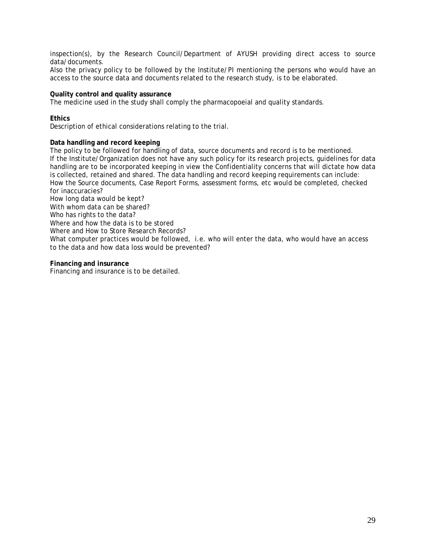inspection(s), by the Research Council/Department of AYUSH providing direct access to source data/documents.

Also the privacy policy to be followed by the Institute/PI mentioning the persons who would have an access to the source data and documents related to the research study, is to be elaborated.

#### **Quality control and quality assurance**

The medicine used in the study shall comply the pharmacopoeial and quality standards.

### **Ethics**

Description of ethical considerations relating to the trial.

### **Data handling and record keeping**

The policy to be followed for handling of data, source documents and record is to be mentioned. If the Institute/Organization does not have any such policy for its research projects, guidelines for data handling are to be incorporated keeping in view the Confidentiality concerns that will dictate how data is collected, retained and shared. The data handling and record keeping requirements can include: How the Source documents, Case Report Forms, assessment forms, etc would be completed, checked for inaccuracies?

How long data would be kept?

With whom data can be shared?

Who has rights to the data?

Where and how the data is to be stored

Where and How to Store Research Records?

What computer practices would be followed, i.e. who will enter the data, who would have an access to the data and how data loss would be prevented?

#### **Financing and insurance**

Financing and insurance is to be detailed.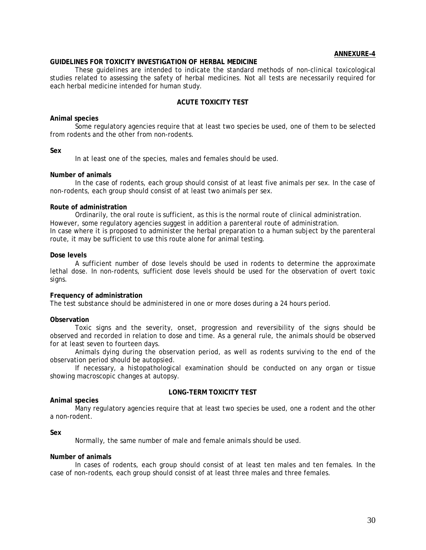#### **ANNEXURE–4**

#### **GUIDELINES FOR TOXICITY INVESTIGATION OF HERBAL MEDICINE**

These guidelines are intended to indicate the standard methods of non-clinical toxicological studies related to assessing the safety of herbal medicines. Not all tests are necessarily required for each herbal medicine intended for human study.

#### **ACUTE TOXICITY TEST**

#### **Animal species**

Some regulatory agencies require that at least two species be used, one of them to be selected from rodents and the other from non-rodents.

#### **Sex**

In at least one of the species, males and females should be used.

#### **Number of animals**

In the case of rodents, each group should consist of at least five animals per sex. In the case of non-rodents, each group should consist of at least two animals per sex.

#### **Route of administration**

Ordinarily, the oral route is sufficient, as this is the normal route of clinical administration. However, some regulatory agencies suggest in addition a parenteral route of administration. In case where it is proposed to administer the herbal preparation to a human subject by the parenteral route, it may be sufficient to use this route alone for animal testing.

#### **Dose levels**

A sufficient number of dose levels should be used in rodents to determine the approximate lethal dose. In non-rodents, sufficient dose levels should be used for the observation of overt toxic signs.

#### **Frequency of administration**

The test substance should be administered in one or more doses during a 24 hours period.

#### **Observation**

Toxic signs and the severity, onset, progression and reversibility of the signs should be observed and recorded in relation to dose and time. As a general rule, the animals should be observed for at least seven to fourteen days.

Animals dying during the observation period, as well as rodents surviving to the end of the observation period should be autopsied.

If necessary, a histopathological examination should be conducted on any organ or tissue showing macroscopic changes at autopsy.

#### **Animal species**

**LONG-TERM TOXICITY TEST** 

Many regulatory agencies require that at least two species be used, one a rodent and the other a non-rodent.

#### **Sex**

Normally, the same number of male and female animals should be used.

#### **Number of animals**

In cases of rodents, each group should consist of at least ten males and ten females. In the case of non-rodents, each group should consist of at least three males and three females.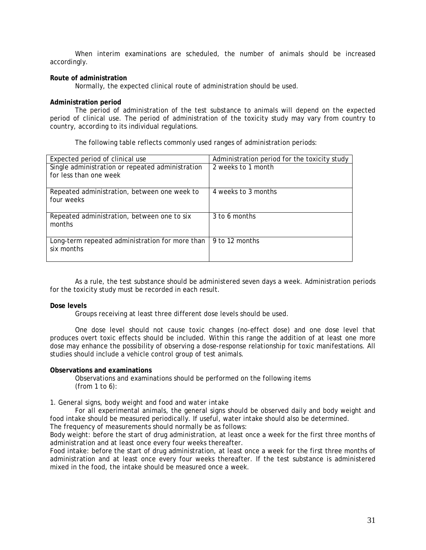When interim examinations are scheduled, the number of animals should be increased accordingly.

#### **Route of administration**

Normally, the expected clinical route of administration should be used.

#### **Administration period**

The period of administration of the test substance to animals will depend on the expected period of clinical use. The period of administration of the toxicity study may vary from country to country, according to its individual regulations.

The following table reflects commonly used ranges of administration periods:

| Expected period of clinical use                               | Administration period for the toxicity study |
|---------------------------------------------------------------|----------------------------------------------|
| Single administration or repeated administration              | 2 weeks to 1 month                           |
| for less than one week                                        |                                              |
| Repeated administration, between one week to<br>four weeks    | 4 weeks to 3 months                          |
| Repeated administration, between one to six<br>months         | 3 to 6 months                                |
| Long-term repeated administration for more than<br>six months | 9 to 12 months                               |

As a rule, the test substance should be administered seven days a week. Administration periods for the toxicity study must be recorded in each result.

#### **Dose levels**

Groups receiving at least three different dose levels should be used.

One dose level should not cause toxic changes (no-effect dose) and one dose level that produces overt toxic effects should be included. Within this range the addition of at least one more dose may enhance the possibility of observing a dose-response relationship for toxic manifestations. All studies should include a vehicle control group of test animals.

#### **Observations and examinations**

Observations and examinations should be performed on the following items (from 1 to 6):

#### *1. General signs, body weight and food and water intake*

For all experimental animals, the general signs should be observed daily and body weight and food intake should be measured periodically. If useful, water intake should also be determined.

The frequency of measurements should normally be as follows:

Body weight: before the start of drug administration, at least once a week for the first three months of administration and at least once every four weeks thereafter.

Food intake: before the start of drug administration, at least once a week for the first three months of administration and at least once every four weeks thereafter. If the test substance is administered mixed in the food, the intake should be measured once a week.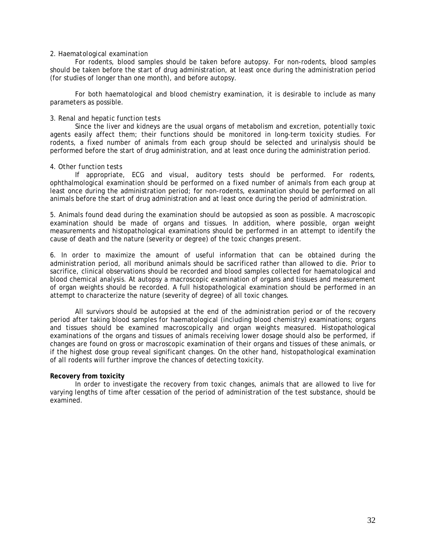#### *2. Haematological examination*

For rodents, blood samples should be taken before autopsy. For non-rodents, blood samples should be taken before the start of drug administration, at least once during the administration period (for studies of longer than one month), and before autopsy.

For both haematological and blood chemistry examination, it is desirable to include as many parameters as possible.

#### *3. Renal and hepatic function tests*

Since the liver and kidneys are the usual organs of metabolism and excretion, potentially toxic agents easily affect them; their functions should be monitored in long-term toxicity studies. For rodents, a fixed number of animals from each group should be selected and urinalysis should be performed before the start of drug administration, and at least once during the administration period.

#### *4. Other function tests*

If appropriate, ECG and visual, auditory tests should be performed. For rodents, ophthalmological examination should be performed on a fixed number of animals from each group at least once during the administration period; for non-rodents, examination should be performed on all animals before the start of drug administration and at least once during the period of administration.

5. Animals found dead during the examination should be autopsied as soon as possible. A macroscopic examination should be made of organs and tissues. In addition, where possible, organ weight measurements and histopathological examinations should be performed in an attempt to identify the cause of death and the nature (severity or degree) of the toxic changes present.

6. In order to maximize the amount of useful information that can be obtained during the administration period, all moribund animals should be sacrificed rather than allowed to die. Prior to sacrifice, clinical observations should be recorded and blood samples collected for haematological and blood chemical analysis. At autopsy a macroscopic examination of organs and tissues and measurement of organ weights should be recorded. A full histopathological examination should be performed in an attempt to characterize the nature (severity of degree) of all toxic changes.

All survivors should be autopsied at the end of the administration period or of the recovery period after taking blood samples for haematological (including blood chemistry) examinations; organs and tissues should be examined macroscopically and organ weights measured. Histopathological examinations of the organs and tissues of animals receiving lower dosage should also be performed, if changes are found on gross or macroscopic examination of their organs and tissues of these animals, or if the highest dose group reveal significant changes. On the other hand, histopathological examination of all rodents will further improve the chances of detecting toxicity.

#### **Recovery from toxicity**

In order to investigate the recovery from toxic changes, animals that are allowed to live for varying lengths of time after cessation of the period of administration of the test substance, should be examined.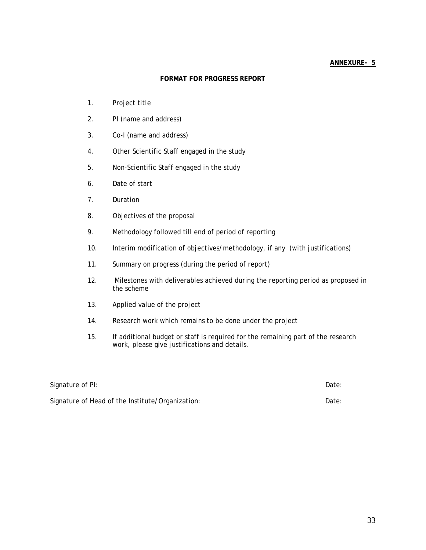### **FORMAT FOR PROGRESS REPORT**

- 1. Project title
- 2. PI (name and address)
- 3. Co-I (name and address)
- 4. Other Scientific Staff engaged in the study
- 5. Non-Scientific Staff engaged in the study
- 6. Date of start
- 7. Duration
- 8. Objectives of the proposal
- 9. Methodology followed till end of period of reporting
- 10. Interim modification of objectives/methodology, if any (with justifications)
- 11. Summary on progress (during the period of report)
- 12. Milestones with deliverables achieved during the reporting period as proposed in the scheme
- 13. Applied value of the project
- 14. Research work which remains to be done under the project
- 15. If additional budget or staff is required for the remaining part of the research work, please give justifications and details.

| Signature of PI:                                 | Date: |
|--------------------------------------------------|-------|
| Signature of Head of the Institute/Organization: | Date: |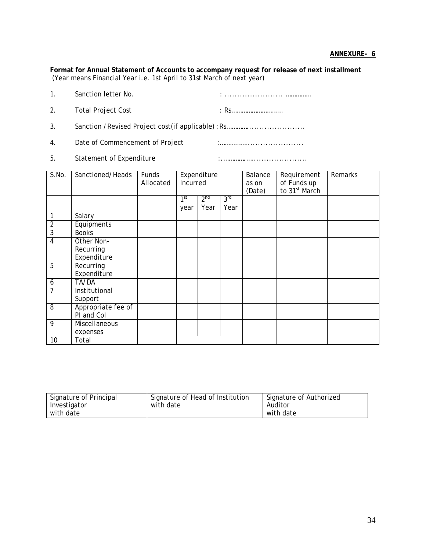**Format for Annual Statement of Accounts to accompany request for release of next installment**  (Year means Financial Year i.e. 1st April to 31st March of next year)

| $\mathbf{1}_{\cdot}$ | Sanction letter No.             |      |
|----------------------|---------------------------------|------|
| 2.                   | <b>Total Project Cost</b>       | ∙ Rς |
| 3.                   |                                 |      |
| $\mathbf{4}$ .       | Date of Commencement of Project |      |
|                      |                                 |      |

5. Statement of Expenditure **in the Constantine of Expenditure in the Constantine Constantine Constantine Constantine Constantine Constantine Constantine Constantine Constantine Constantine Constantine Constantine Consta** 

| S.No.            | Sanctioned/Heads   | Funds     |                 | Expenditure     |                 | Balance | Requirement                              | Remarks |
|------------------|--------------------|-----------|-----------------|-----------------|-----------------|---------|------------------------------------------|---------|
|                  |                    | Allocated | Incurred        |                 |                 | as on   |                                          |         |
|                  |                    |           |                 |                 |                 | (Date)  | of Funds up<br>to 31 <sup>st</sup> March |         |
|                  |                    |           | 1 <sup>st</sup> | 2 <sup>nd</sup> | 3 <sup>rd</sup> |         |                                          |         |
|                  |                    |           | year            | Year            | Year            |         |                                          |         |
|                  |                    |           |                 |                 |                 |         |                                          |         |
| 1                | Salary             |           |                 |                 |                 |         |                                          |         |
| $\overline{2}$   | Equipments         |           |                 |                 |                 |         |                                          |         |
| $\overline{3}$   | <b>Books</b>       |           |                 |                 |                 |         |                                          |         |
| 4                | Other Non-         |           |                 |                 |                 |         |                                          |         |
|                  | Recurring          |           |                 |                 |                 |         |                                          |         |
|                  | Expenditure        |           |                 |                 |                 |         |                                          |         |
| $\overline{5}$   | Recurring          |           |                 |                 |                 |         |                                          |         |
|                  | Expenditure        |           |                 |                 |                 |         |                                          |         |
| $\boldsymbol{6}$ | TA/DA              |           |                 |                 |                 |         |                                          |         |
| 7                | Institutional      |           |                 |                 |                 |         |                                          |         |
|                  | Support            |           |                 |                 |                 |         |                                          |         |
| 8                | Appropriate fee of |           |                 |                 |                 |         |                                          |         |
|                  | PI and Col         |           |                 |                 |                 |         |                                          |         |
| 9                | Miscellaneous      |           |                 |                 |                 |         |                                          |         |
|                  | expenses           |           |                 |                 |                 |         |                                          |         |
| 10               | Total              |           |                 |                 |                 |         |                                          |         |

| Signature of Principal | Signature of Head of Institution | Signature of Authorized |
|------------------------|----------------------------------|-------------------------|
| Investigator           | with date                        | Auditor                 |
| with date              |                                  | with date               |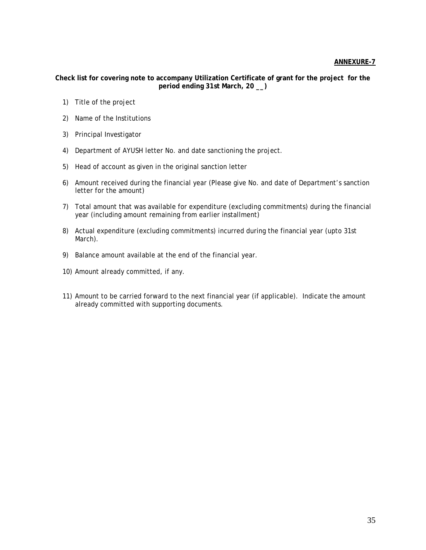**Check list for covering note to accompany Utilization Certificate of grant for the project for the period ending 31st March, 20 \_\_)** 

- 1) Title of the project
- 2) Name of the Institutions
- 3) Principal Investigator
- 4) Department of AYUSH letter No. and date sanctioning the project.
- 5) Head of account as given in the original sanction letter
- 6) Amount received during the financial year (Please give No. and date of Department's sanction letter for the amount)
- 7) Total amount that was available for expenditure (excluding commitments) during the financial year (including amount remaining from earlier installment)
- 8) Actual expenditure (excluding commitments) incurred during the financial year (upto 31st March).
- 9) Balance amount available at the end of the financial year.
- 10) Amount already committed, if any.
- 11) Amount to be carried forward to the next financial year (if applicable). Indicate the amount already committed with supporting documents.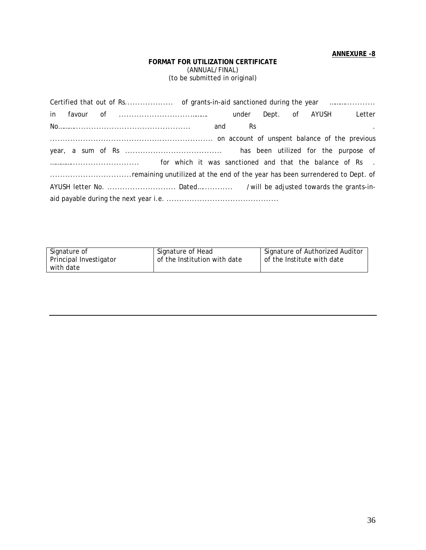### **FORMAT FOR UTILIZATION CERTIFICATE**  (ANNUAL/FINAL) (to be submitted in original)

|  |  |  |  |  |  | <b>Contract Contract State</b> |  |
|--|--|--|--|--|--|--------------------------------|--|
|  |  |  |  |  |  |                                |  |
|  |  |  |  |  |  |                                |  |
|  |  |  |  |  |  |                                |  |
|  |  |  |  |  |  |                                |  |
|  |  |  |  |  |  |                                |  |
|  |  |  |  |  |  |                                |  |

| Signature of           | Signature of Head            | Signature of Authorized Auditor |
|------------------------|------------------------------|---------------------------------|
| Principal Investigator | of the Institution with date | of the Institute with date      |
| with date              |                              |                                 |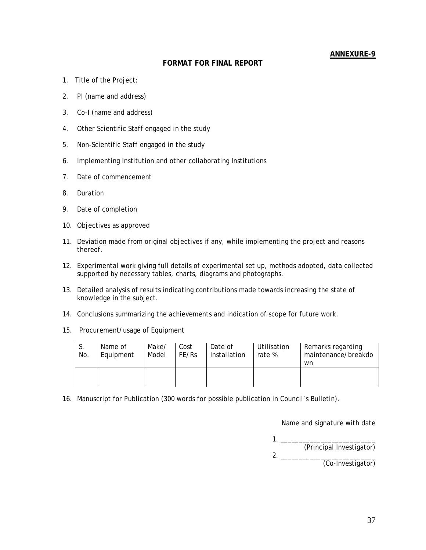### **FORMAT FOR FINAL REPORT**

- 1. Title of the Project:
- 2. PI (name and address)
- 3. Co-I (name and address)
- 4. Other Scientific Staff engaged in the study
- 5. Non-Scientific Staff engaged in the study
- 6. Implementing Institution and other collaborating Institutions
- 7. Date of commencement
- 8. Duration
- 9. Date of completion
- 10. Objectives as approved
- 11. Deviation made from original objectives if any, while implementing the project and reasons thereof.
- 12. Experimental work giving full details of experimental set up, methods adopted, data collected supported by necessary tables, charts, diagrams and photographs.
- 13. Detailed analysis of results indicating contributions made towards increasing the state of knowledge in the subject.
- 14. Conclusions summarizing the achievements and indication of scope for future work.
- 15. Procurement/usage of Equipment

| .ა.<br>No. | Name of<br>Equipment | Make/<br>Model | Cost<br>FE/Rs | Date of<br>Installation | Utilisation<br>rate % | Remarks regarding<br>maintenance/breakdo<br>wn |
|------------|----------------------|----------------|---------------|-------------------------|-----------------------|------------------------------------------------|
|            |                      |                |               |                         |                       |                                                |

16. Manuscript for Publication (300 words for possible publication in Council's Bulletin).

Name and signature with date

1. \_\_\_\_\_\_\_\_\_\_\_\_\_\_\_\_\_\_\_\_\_\_\_\_\_\_

 (Principal Investigator) 2. \_\_\_\_\_\_\_\_\_\_\_\_\_\_\_\_\_\_\_\_\_\_\_\_\_\_

(Co-Investigator)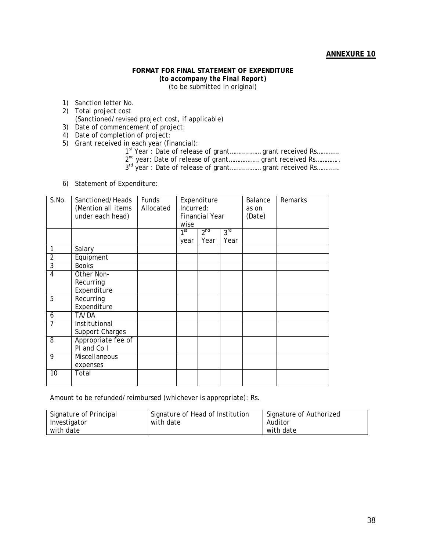#### **FORMAT FOR FINAL STATEMENT OF EXPENDITURE**  *(to accompany the Final Report)*  (to be submitted in original)

- 1) Sanction letter No.
- 2) Total project cost (Sanctioned/revised project cost, if applicable)
- 3) Date of commencement of project:
- 4) Date of completion of project:
- 5) Grant received in each year (financial):
	- 1st Year : Date of release of grant.................. grant received Rs............. 2<sup>nd</sup> year: Date of release of grant.................. grant received Rs.............
	-
	- 3<sup>rd</sup> year: Date of release of grant.................. grant received Rs.............
- 6) Statement of Expenditure:

| S.No.          | Sanctioned/Heads   | Funds     | Expenditure     |                       |                 | Balance | Remarks |
|----------------|--------------------|-----------|-----------------|-----------------------|-----------------|---------|---------|
|                | (Mention all items | Allocated | Incurred:       |                       |                 | as on   |         |
|                | under each head)   |           |                 | <b>Financial Year</b> |                 | (Date)  |         |
|                |                    |           | wise            |                       |                 |         |         |
|                |                    |           | 1 <sup>st</sup> | 2 <sup>nd</sup>       | 3 <sup>rd</sup> |         |         |
|                |                    |           | year            | Year                  | Year            |         |         |
| 1              | Salary             |           |                 |                       |                 |         |         |
| $\overline{2}$ | Equipment          |           |                 |                       |                 |         |         |
| 3              | <b>Books</b>       |           |                 |                       |                 |         |         |
| 4              | Other Non-         |           |                 |                       |                 |         |         |
|                | Recurring          |           |                 |                       |                 |         |         |
|                | Expenditure        |           |                 |                       |                 |         |         |
| 5              | Recurring          |           |                 |                       |                 |         |         |
|                | Expenditure        |           |                 |                       |                 |         |         |
| 6              | TA/DA              |           |                 |                       |                 |         |         |
| $\overline{7}$ | Institutional      |           |                 |                       |                 |         |         |
|                | Support Charges    |           |                 |                       |                 |         |         |
| 8              | Appropriate fee of |           |                 |                       |                 |         |         |
|                | PI and Co I        |           |                 |                       |                 |         |         |
| 9              | Miscellaneous      |           |                 |                       |                 |         |         |
|                | expenses           |           |                 |                       |                 |         |         |
| 10             | Total              |           |                 |                       |                 |         |         |
|                |                    |           |                 |                       |                 |         |         |

Amount to be refunded/reimbursed (whichever is appropriate): Rs.

| Signature of Principal | Signature of Head of Institution | Signature of Authorized |
|------------------------|----------------------------------|-------------------------|
| Investigator           | with date                        | Auditor                 |
| with date              |                                  | with date               |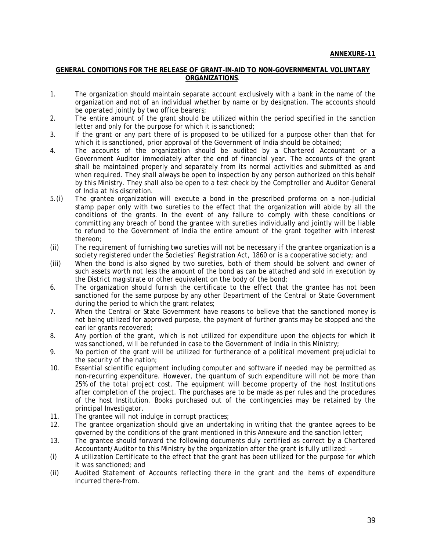#### **GENERAL CONDITIONS FOR THE RELEASE OF GRANT-IN-AID TO NON-GOVERNMENTAL VOLUNTARY ORGANIZATIONS**.

- 1. The organization should maintain separate account exclusively with a bank in the name of the organization and not of an individual whether by name or by designation. The accounts should be operated jointly by two office bearers;
- 2. The entire amount of the grant should be utilized within the period specified in the sanction letter and only for the purpose for which it is sanctioned;
- 3. If the grant or any part there of is proposed to be utilized for a purpose other than that for which it is sanctioned, prior approval of the Government of India should be obtained;
- 4. The accounts of the organization should be audited by a Chartered Accountant or a Government Auditor immediately after the end of financial year. The accounts of the grant shall be maintained properly and separately from its normal activities and submitted as and when required. They shall always be open to inspection by any person authorized on this behalf by this Ministry. They shall also be open to a test check by the Comptroller and Auditor General of India at his discretion.
- 5.(i) The grantee organization will execute a bond in the prescribed proforma on a non-judicial stamp paper only with two sureties to the effect that the organization will abide by all the conditions of the grants. In the event of any failure to comply with these conditions or committing any breach of bond the grantee with sureties individually and jointly will be liable to refund to the Government of India the entire amount of the grant together with interest thereon;
- (ii) The requirement of furnishing two sureties will not be necessary if the grantee organization is a society registered under the Societies' Registration Act, 1860 or is a cooperative society; and
- (iii) When the bond is also signed by two sureties, both of them should be solvent and owner of such assets worth not less the amount of the bond as can be attached and sold in execution by the District magistrate or other equivalent on the body of the bond;
- 6. The organization should furnish the certificate to the effect that the grantee has not been sanctioned for the same purpose by any other Department of the Central or State Government during the period to which the grant relates;
- 7. When the Central or State Government have reasons to believe that the sanctioned money is not being utilized for approved purpose, the payment of further grants may be stopped and the earlier grants recovered;
- 8. Any portion of the grant, which is not utilized for expenditure upon the objects for which it was sanctioned, will be refunded in case to the Government of India in this Ministry;
- 9. No portion of the grant will be utilized for furtherance of a political movement prejudicial to the security of the nation;
- 10. Essential scientific equipment including computer and software if needed may be permitted as non-recurring expenditure. However, the quantum of such expenditure will not be more than 25% of the total project cost. The equipment will become property of the host Institutions after completion of the project. The purchases are to be made as per rules and the procedures of the host Institution. Books purchased out of the contingencies may be retained by the principal Investigator.
- 11. The grantee will not indulge in corrupt practices;<br>12. The grantee organization should give an underta
- 12. The grantee organization should give an undertaking in writing that the grantee agrees to be governed by the conditions of the grant mentioned in this Annexure and the sanction letter;
- 13. The grantee should forward the following documents duly certified as correct by a Chartered Accountant/Auditor to this Ministry by the organization after the grant is fully utilized: -
- (i) A utilization Certificate to the effect that the grant has been utilized for the purpose for which it was sanctioned; and
- (ii) Audited Statement of Accounts reflecting there in the grant and the items of expenditure incurred there-from.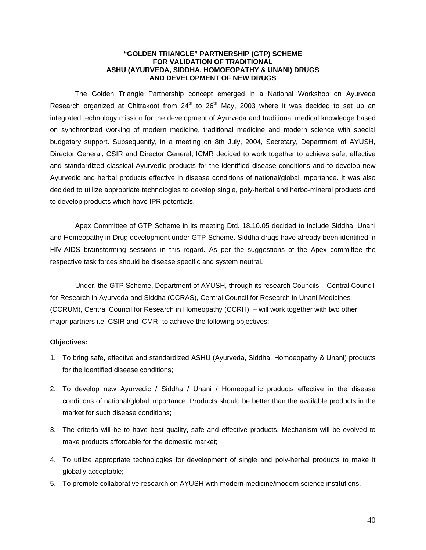#### **"GOLDEN TRIANGLE" PARTNERSHIP (GTP) SCHEME FOR VALIDATION OF TRADITIONAL ASHU (AYURVEDA, SIDDHA, HOMOEOPATHY & UNANI) DRUGS AND DEVELOPMENT OF NEW DRUGS**

The Golden Triangle Partnership concept emerged in a National Workshop on Ayurveda Research organized at Chitrakoot from  $24<sup>th</sup>$  to  $26<sup>th</sup>$  May, 2003 where it was decided to set up an integrated technology mission for the development of Ayurveda and traditional medical knowledge based on synchronized working of modern medicine, traditional medicine and modern science with special budgetary support. Subsequently, in a meeting on 8th July, 2004, Secretary, Department of AYUSH, Director General, CSIR and Director General, ICMR decided to work together to achieve safe, effective and standardized classical Ayurvedic products for the identified disease conditions and to develop new Ayurvedic and herbal products effective in disease conditions of national/global importance. It was also decided to utilize appropriate technologies to develop single, poly-herbal and herbo-mineral products and to develop products which have IPR potentials.

Apex Committee of GTP Scheme in its meeting Dtd. 18.10.05 decided to include Siddha, Unani and Homeopathy in Drug development under GTP Scheme. Siddha drugs have already been identified in HIV-AIDS brainstorming sessions in this regard. As per the suggestions of the Apex committee the respective task forces should be disease specific and system neutral.

Under, the GTP Scheme, Department of AYUSH, through its research Councils – Central Council for Research in Ayurveda and Siddha (CCRAS), Central Council for Research in Unani Medicines (CCRUM), Central Council for Research in Homeopathy (CCRH), – will work together with two other major partners i.e. CSIR and ICMR- to achieve the following objectives:

#### **Objectives:**

- 1. To bring safe, effective and standardized ASHU (Ayurveda, Siddha, Homoeopathy & Unani) products for the identified disease conditions;
- 2. To develop new Ayurvedic / Siddha / Unani / Homeopathic products effective in the disease conditions of national/global importance. Products should be better than the available products in the market for such disease conditions;
- 3. The criteria will be to have best quality, safe and effective products. Mechanism will be evolved to make products affordable for the domestic market;
- 4. To utilize appropriate technologies for development of single and poly-herbal products to make it globally acceptable;
- 5. To promote collaborative research on AYUSH with modern medicine/modern science institutions.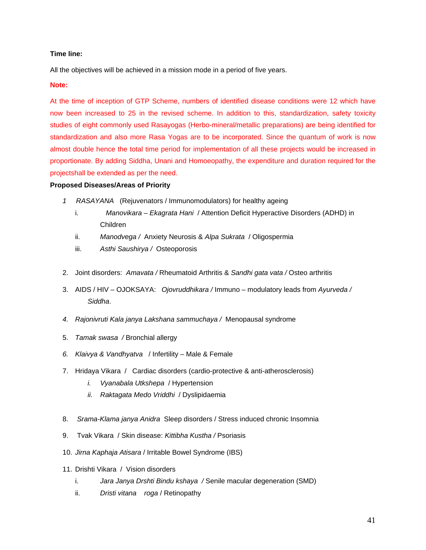### **Time line:**

All the objectives will be achieved in a mission mode in a period of five years.

#### **Note:**

At the time of inception of GTP Scheme, numbers of identified disease conditions were 12 which have now been increased to 25 in the revised scheme. In addition to this, standardization, safety toxicity studies of eight commonly used Rasayogas (Herbo-mineral/metallic preparations) are being identified for standardization and also more Rasa Yogas are to be incorporated. Since the quantum of work is now almost double hence the total time period for implementation of all these projects would be increased in proportionate. By adding Siddha, Unani and Homoeopathy, the expenditure and duration required for the projectshall be extended as per the need.

#### **Proposed Diseases/Areas of Priority**

- *1 RASAYANA* (Rejuvenators / Immunomodulators) for healthy ageing
	- i. *Manovikara Ekagrata Hani* / Attention Deficit Hyperactive Disorders (ADHD) in Children
	- ii. *Manodvega /* Anxiety Neurosis & *Alpa Sukrata* / Oligospermia
	- iii. *Asthi Saushirya /* Osteoporosis
- 2. Joint disorders: *Amavata /* Rheumatoid Arthritis & *Sandhi gata vata /* Osteo arthritis
- 3. AIDS / HIV OJOKSAYA: *Ojovruddhikara /* Immuno modulatory leads from *Ayurveda / Siddha*.
- *4. Rajonivruti Kala janya Lakshana sammuchaya /* Menopausal syndrome
- 5. *Tamak swasa /* Bronchial allergy
- *6. Klaivya & Vandhyatva* / Infertility Male & Female
- 7. Hridaya Vikara / Cardiac disorders (cardio-protective & anti-atherosclerosis)
	- *i. Vyanabala Utkshepa* / Hypertension
	- *ii. Raktagata Medo Vriddhi* / Dyslipidaemia
- 8. *Srama-Klama janya Anidra* Sleep disorders / Stress induced chronic Insomnia
- 9. Tvak Vikara / Skin disease: *Kittibha Kustha /* Psoriasis
- 10. *Jirna Kaphaja Atisara* / Irritable Bowel Syndrome (IBS)
- 11. Drishti Vikara / Vision disorders
	- i. *Jara Janya Drshti Bindu kshaya /* Senile macular degeneration (SMD)
	- ii. *Dristi vitana roga* / Retinopathy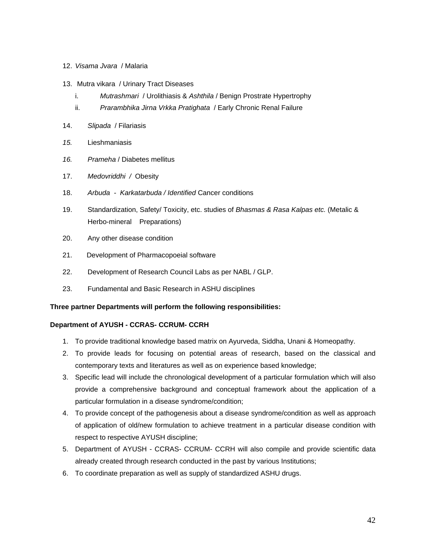#### 12. *Visama Jvara* / Malaria

- 13. Mutra vikara / Urinary Tract Diseases
	- i. *Mutrashmari* / Urolithiasis & *Ashthila* / Benign Prostrate Hypertrophy
	- ii. *Prarambhika Jirna Vrkka Pratighata* / Early Chronic Renal Failure
- 14. *Slipada* / Filariasis
- *15.* Lieshmaniasis
- *16. Prameha* / Diabetes mellitus
- 17. *Medovriddhi /* Obesity
- 18. *Arbuda Karkatarbuda / Identified* Cancer conditions
- 19. Standardization, Safety/ Toxicity, etc. studies of *Bhasmas & Rasa Kalpas etc.* (Metalic & Herbo-mineral Preparations)
- 20. Any other disease condition
- 21. Development of Pharmacopoeial software
- 22. Development of Research Council Labs as per NABL / GLP.
- 23. Fundamental and Basic Research in ASHU disciplines

#### **Three partner Departments will perform the following responsibilities:**

#### **Department of AYUSH - CCRAS- CCRUM- CCRH**

- 1. To provide traditional knowledge based matrix on Ayurveda, Siddha, Unani & Homeopathy.
- 2. To provide leads for focusing on potential areas of research, based on the classical and contemporary texts and literatures as well as on experience based knowledge;
- 3. Specific lead will include the chronological development of a particular formulation which will also provide a comprehensive background and conceptual framework about the application of a particular formulation in a disease syndrome/condition;
- 4. To provide concept of the pathogenesis about a disease syndrome/condition as well as approach of application of old/new formulation to achieve treatment in a particular disease condition with respect to respective AYUSH discipline;
- 5. Department of AYUSH CCRAS- CCRUM- CCRH will also compile and provide scientific data already created through research conducted in the past by various Institutions;
- 6. To coordinate preparation as well as supply of standardized ASHU drugs.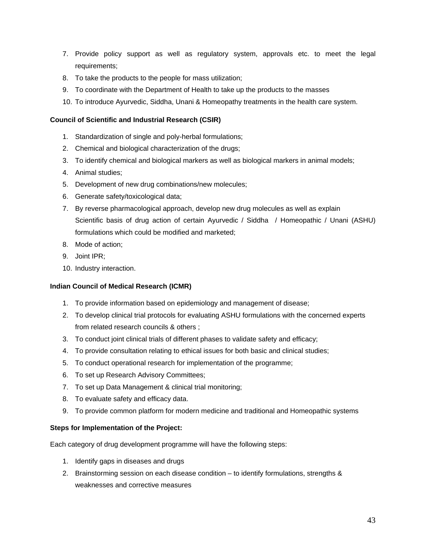- 7. Provide policy support as well as regulatory system, approvals etc. to meet the legal requirements;
- 8. To take the products to the people for mass utilization;
- 9. To coordinate with the Department of Health to take up the products to the masses
- 10. To introduce Ayurvedic, Siddha, Unani & Homeopathy treatments in the health care system.

### **Council of Scientific and Industrial Research (CSIR)**

- 1. Standardization of single and poly-herbal formulations;
- 2. Chemical and biological characterization of the drugs;
- 3. To identify chemical and biological markers as well as biological markers in animal models;
- 4. Animal studies;
- 5. Development of new drug combinations/new molecules;
- 6. Generate safety/toxicological data;
- 7. By reverse pharmacological approach, develop new drug molecules as well as explain Scientific basis of drug action of certain Ayurvedic / Siddha / Homeopathic / Unani (ASHU) formulations which could be modified and marketed;
- 8. Mode of action;
- 9. Joint IPR;
- 10. Industry interaction.

### **Indian Council of Medical Research (ICMR)**

- 1. To provide information based on epidemiology and management of disease;
- 2. To develop clinical trial protocols for evaluating ASHU formulations with the concerned experts from related research councils & others ;
- 3. To conduct joint clinical trials of different phases to validate safety and efficacy;
- 4. To provide consultation relating to ethical issues for both basic and clinical studies;
- 5. To conduct operational research for implementation of the programme;
- 6. To set up Research Advisory Committees;
- 7. To set up Data Management & clinical trial monitoring;
- 8. To evaluate safety and efficacy data.
- 9. To provide common platform for modern medicine and traditional and Homeopathic systems

### **Steps for Implementation of the Project:**

Each category of drug development programme will have the following steps:

- 1. Identify gaps in diseases and drugs
- 2. Brainstorming session on each disease condition to identify formulations, strengths & weaknesses and corrective measures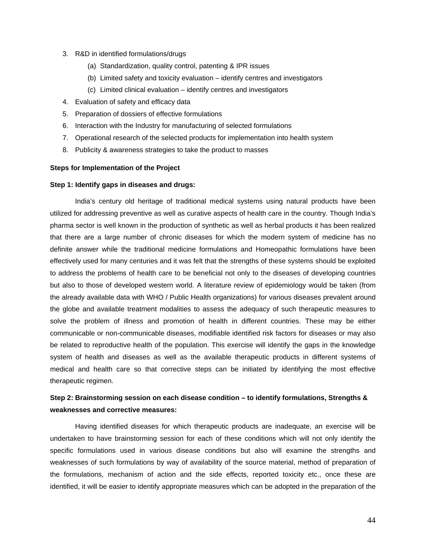- 3. R&D in identified formulations/drugs
	- (a) Standardization, quality control, patenting & IPR issues
	- (b) Limited safety and toxicity evaluation identify centres and investigators
	- (c) Limited clinical evaluation identify centres and investigators
- 4. Evaluation of safety and efficacy data
- 5. Preparation of dossiers of effective formulations
- 6. Interaction with the Industry for manufacturing of selected formulations
- 7. Operational research of the selected products for implementation into health system
- 8. Publicity & awareness strategies to take the product to masses

### **Steps for Implementation of the Project**

#### **Step 1: Identify gaps in diseases and drugs:**

India's century old heritage of traditional medical systems using natural products have been utilized for addressing preventive as well as curative aspects of health care in the country. Though India's pharma sector is well known in the production of synthetic as well as herbal products it has been realized that there are a large number of chronic diseases for which the modern system of medicine has no definite answer while the traditional medicine formulations and Homeopathic formulations have been effectively used for many centuries and it was felt that the strengths of these systems should be exploited to address the problems of health care to be beneficial not only to the diseases of developing countries but also to those of developed western world. A literature review of epidemiology would be taken (from the already available data with WHO / Public Health organizations) for various diseases prevalent around the globe and available treatment modalities to assess the adequacy of such therapeutic measures to solve the problem of illness and promotion of health in different countries. These may be either communicable or non-communicable diseases, modifiable identified risk factors for diseases or may also be related to reproductive health of the population. This exercise will identify the gaps in the knowledge system of health and diseases as well as the available therapeutic products in different systems of medical and health care so that corrective steps can be initiated by identifying the most effective therapeutic regimen.

# **Step 2: Brainstorming session on each disease condition – to identify formulations, Strengths & weaknesses and corrective measures:**

Having identified diseases for which therapeutic products are inadequate, an exercise will be undertaken to have brainstorming session for each of these conditions which will not only identify the specific formulations used in various disease conditions but also will examine the strengths and weaknesses of such formulations by way of availability of the source material, method of preparation of the formulations, mechanism of action and the side effects, reported toxicity etc., once these are identified, it will be easier to identify appropriate measures which can be adopted in the preparation of the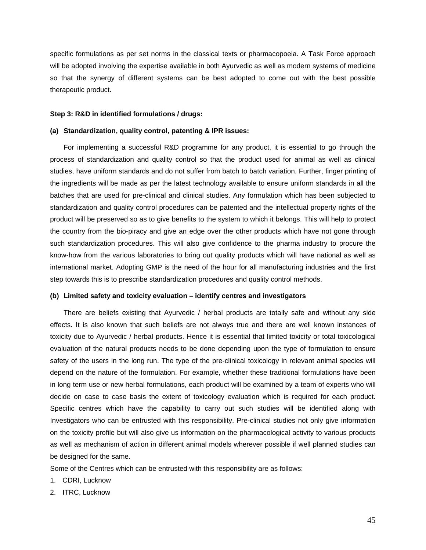specific formulations as per set norms in the classical texts or pharmacopoeia. A Task Force approach will be adopted involving the expertise available in both Ayurvedic as well as modern systems of medicine so that the synergy of different systems can be best adopted to come out with the best possible therapeutic product.

#### **Step 3: R&D in identified formulations / drugs:**

#### **(a) Standardization, quality control, patenting & IPR issues:**

For implementing a successful R&D programme for any product, it is essential to go through the process of standardization and quality control so that the product used for animal as well as clinical studies, have uniform standards and do not suffer from batch to batch variation. Further, finger printing of the ingredients will be made as per the latest technology available to ensure uniform standards in all the batches that are used for pre-clinical and clinical studies. Any formulation which has been subjected to standardization and quality control procedures can be patented and the intellectual property rights of the product will be preserved so as to give benefits to the system to which it belongs. This will help to protect the country from the bio-piracy and give an edge over the other products which have not gone through such standardization procedures. This will also give confidence to the pharma industry to procure the know-how from the various laboratories to bring out quality products which will have national as well as international market. Adopting GMP is the need of the hour for all manufacturing industries and the first step towards this is to prescribe standardization procedures and quality control methods.

#### **(b) Limited safety and toxicity evaluation – identify centres and investigators**

There are beliefs existing that Ayurvedic / herbal products are totally safe and without any side effects. It is also known that such beliefs are not always true and there are well known instances of toxicity due to Ayurvedic / herbal products. Hence it is essential that limited toxicity or total toxicological evaluation of the natural products needs to be done depending upon the type of formulation to ensure safety of the users in the long run. The type of the pre-clinical toxicology in relevant animal species will depend on the nature of the formulation. For example, whether these traditional formulations have been in long term use or new herbal formulations, each product will be examined by a team of experts who will decide on case to case basis the extent of toxicology evaluation which is required for each product. Specific centres which have the capability to carry out such studies will be identified along with Investigators who can be entrusted with this responsibility. Pre-clinical studies not only give information on the toxicity profile but will also give us information on the pharmacological activity to various products as well as mechanism of action in different animal models wherever possible if well planned studies can be designed for the same.

Some of the Centres which can be entrusted with this responsibility are as follows:

- 1. CDRI, Lucknow
- 2. ITRC, Lucknow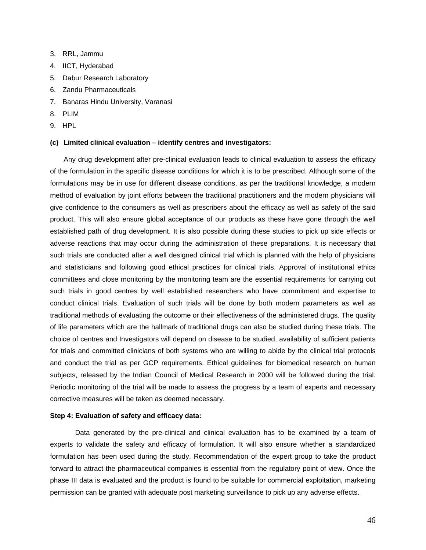- 3. RRL, Jammu
- 4. IICT, Hyderabad
- 5. Dabur Research Laboratory
- 6. Zandu Pharmaceuticals
- 7. Banaras Hindu University, Varanasi
- 8. PLIM
- 9. HPL

#### **(c) Limited clinical evaluation – identify centres and investigators:**

Any drug development after pre-clinical evaluation leads to clinical evaluation to assess the efficacy of the formulation in the specific disease conditions for which it is to be prescribed. Although some of the formulations may be in use for different disease conditions, as per the traditional knowledge, a modern method of evaluation by joint efforts between the traditional practitioners and the modern physicians will give confidence to the consumers as well as prescribers about the efficacy as well as safety of the said product. This will also ensure global acceptance of our products as these have gone through the well established path of drug development. It is also possible during these studies to pick up side effects or adverse reactions that may occur during the administration of these preparations. It is necessary that such trials are conducted after a well designed clinical trial which is planned with the help of physicians and statisticians and following good ethical practices for clinical trials. Approval of institutional ethics committees and close monitoring by the monitoring team are the essential requirements for carrying out such trials in good centres by well established researchers who have commitment and expertise to conduct clinical trials. Evaluation of such trials will be done by both modern parameters as well as traditional methods of evaluating the outcome or their effectiveness of the administered drugs. The quality of life parameters which are the hallmark of traditional drugs can also be studied during these trials. The choice of centres and Investigators will depend on disease to be studied, availability of sufficient patients for trials and committed clinicians of both systems who are willing to abide by the clinical trial protocols and conduct the trial as per GCP requirements. Ethical guidelines for biomedical research on human subjects, released by the Indian Council of Medical Research in 2000 will be followed during the trial. Periodic monitoring of the trial will be made to assess the progress by a team of experts and necessary corrective measures will be taken as deemed necessary.

#### **Step 4: Evaluation of safety and efficacy data:**

Data generated by the pre-clinical and clinical evaluation has to be examined by a team of experts to validate the safety and efficacy of formulation. It will also ensure whether a standardized formulation has been used during the study. Recommendation of the expert group to take the product forward to attract the pharmaceutical companies is essential from the regulatory point of view. Once the phase III data is evaluated and the product is found to be suitable for commercial exploitation, marketing permission can be granted with adequate post marketing surveillance to pick up any adverse effects.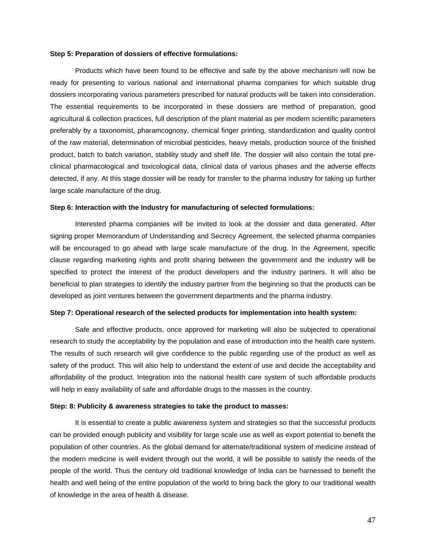#### **Step 5: Preparation of dossiers of effective formulations:**

Products which have been found to be effective and safe by the above mechanism will now be ready for presenting to various national and international pharma companies for which suitable drug dossiers incorporating various parameters prescribed for natural products will be taken into consideration. The essential requirements to be incorporated in these dossiers are method of preparation, good agricultural & collection practices, full description of the plant material as per modern scientific parameters preferably by a taxonomist, pharamcognosy, chemical finger printing, standardization and quality control of the raw material, determination of microbial pesticides, heavy metals, production source of the finished product, batch to batch variation, stability study and shelf life. The dossier will also contain the total preclinical pharmacological and toxicological data, clinical data of various phases and the adverse effects detected, if any. At this stage dossier will be ready for transfer to the pharma industry for taking up further large scale manufacture of the drug.

#### **Step 6: Interaction with the Industry for manufacturing of selected formulations:**

Interested pharma companies will be invited to look at the dossier and data generated. After signing proper Memorandum of Understanding and Secrecy Agreement, the selected pharma companies will be encouraged to go ahead with large scale manufacture of the drug. In the Agreement, specific clause regarding marketing rights and profit sharing between the government and the industry will be specified to protect the interest of the product developers and the industry partners. It will also be beneficial to plan strategies to identify the industry partner from the beginning so that the products can be developed as joint ventures between the government departments and the pharma industry.

#### **Step 7: Operational research of the selected products for implementation into health system:**

Safe and effective products, once approved for marketing will also be subjected to operational research to study the acceptability by the population and ease of introduction into the health care system. The results of such research will give confidence to the public regarding use of the product as well as safety of the product. This will also help to understand the extent of use and decide the acceptability and affordability of the product. Integration into the national health care system of such affordable products will help in easy availability of safe and affordable drugs to the masses in the country.

#### **Step: 8: Publicity & awareness strategies to take the product to masses:**

It is essential to create a public awareness system and strategies so that the successful products can be provided enough publicity and visibility for large scale use as well as export potential to benefit the population of other countries. As the global demand for alternate/traditional system of medicine instead of the modern medicine is well evident through out the world, it will be possible to satisfy the needs of the people of the world. Thus the century old traditional knowledge of India can be harnessed to benefit the health and well being of the entire population of the world to bring back the glory to our traditional wealth of knowledge in the area of health & disease.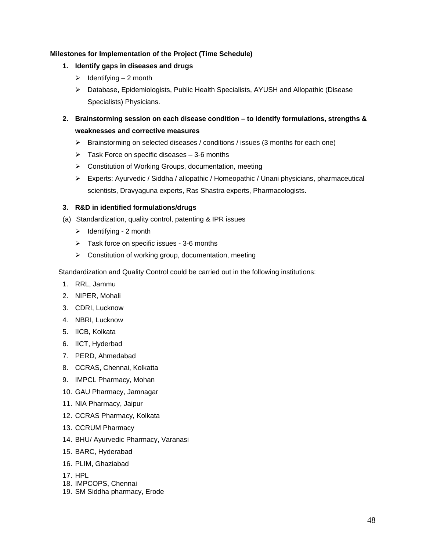### **Milestones for Implementation of the Project (Time Schedule)**

- **1. Identify gaps in diseases and drugs** 
	- $\geq$  Identifying 2 month
	- ¾ Database, Epidemiologists, Public Health Specialists, AYUSH and Allopathic (Disease Specialists) Physicians.
- **2. Brainstorming session on each disease condition to identify formulations, strengths & weaknesses and corrective measures**
	- $\triangleright$  Brainstorming on selected diseases / conditions / issues (3 months for each one)
	- $\triangleright$  Task Force on specific diseases 3-6 months
	- ¾ Constitution of Working Groups, documentation, meeting
	- ¾ Experts: Ayurvedic / Siddha / allopathic / Homeopathic / Unani physicians, pharmaceutical scientists, Dravyaguna experts, Ras Shastra experts, Pharmacologists.

### **3. R&D in identified formulations/drugs**

- (a) Standardization, quality control, patenting & IPR issues
	- $\triangleright$  Identifying 2 month
	- $\triangleright$  Task force on specific issues 3-6 months
	- ¾ Constitution of working group, documentation, meeting

Standardization and Quality Control could be carried out in the following institutions:

- 1. RRL, Jammu
- 2. NIPER, Mohali
- 3. CDRI, Lucknow
- 4. NBRI, Lucknow
- 5. IICB, Kolkata
- 6. IICT, Hyderbad
- 7. PERD, Ahmedabad
- 8. CCRAS, Chennai, Kolkatta
- 9. IMPCL Pharmacy, Mohan
- 10. GAU Pharmacy, Jamnagar
- 11. NIA Pharmacy, Jaipur
- 12. CCRAS Pharmacy, Kolkata
- 13. CCRUM Pharmacy
- 14. BHU/ Ayurvedic Pharmacy, Varanasi
- 15. BARC, Hyderabad
- 16. PLIM, Ghaziabad
- 17. HPL
- 18. IMPCOPS, Chennai
- 19. SM Siddha pharmacy, Erode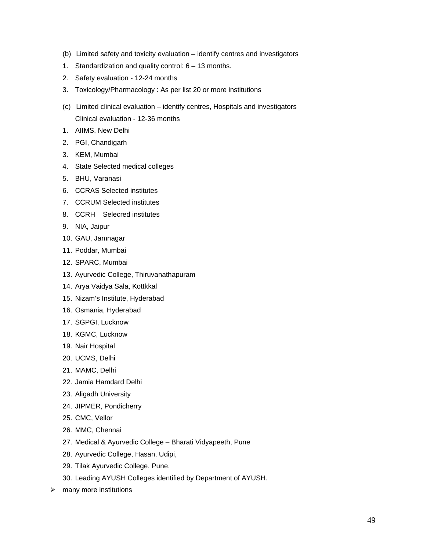- (b) Limited safety and toxicity evaluation identify centres and investigators
- 1. Standardization and quality control: 6 13 months.
- 2. Safety evaluation 12-24 months
- 3. Toxicology/Pharmacology : As per list 20 or more institutions
- (c) Limited clinical evaluation identify centres, Hospitals and investigators Clinical evaluation - 12-36 months
- 1. AIIMS, New Delhi
- 2. PGI, Chandigarh
- 3. KEM, Mumbai
- 4. State Selected medical colleges
- 5. BHU, Varanasi
- 6. CCRAS Selected institutes
- 7. CCRUM Selected institutes
- 8. CCRH Selecred institutes
- 9. NIA, Jaipur
- 10. GAU, Jamnagar
- 11. Poddar, Mumbai
- 12. SPARC, Mumbai
- 13. Ayurvedic College, Thiruvanathapuram
- 14. Arya Vaidya Sala, Kottkkal
- 15. Nizam's Institute, Hyderabad
- 16. Osmania, Hyderabad
- 17. SGPGI, Lucknow
- 18. KGMC, Lucknow
- 19. Nair Hospital
- 20. UCMS, Delhi
- 21. MAMC, Delhi
- 22. Jamia Hamdard Delhi
- 23. Aligadh University
- 24. JIPMER, Pondicherry
- 25. CMC, Vellor
- 26. MMC, Chennai
- 27. Medical & Ayurvedic College Bharati Vidyapeeth, Pune
- 28. Ayurvedic College, Hasan, Udipi,
- 29. Tilak Ayurvedic College, Pune.
- 30. Leading AYUSH Colleges identified by Department of AYUSH.
- $\triangleright$  many more institutions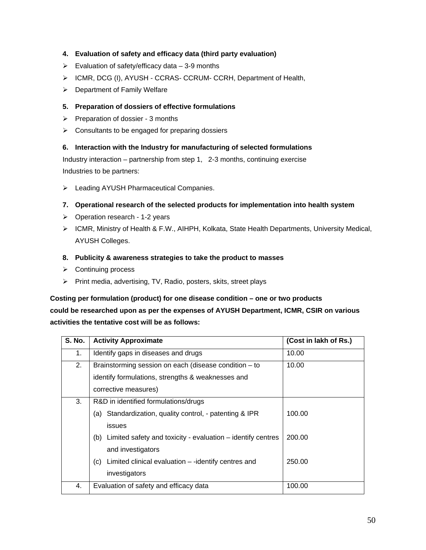# **4. Evaluation of safety and efficacy data (third party evaluation)**

- $\triangleright$  Evaluation of safety/efficacy data 3-9 months
- ¾ ICMR, DCG (I), AYUSH CCRAS- CCRUM- CCRH, Department of Health,
- $\triangleright$  Department of Family Welfare

### **5. Preparation of dossiers of effective formulations**

- $\triangleright$  Preparation of dossier 3 months
- $\triangleright$  Consultants to be engaged for preparing dossiers

### **6. Interaction with the Industry for manufacturing of selected formulations**

Industry interaction – partnership from step 1, 2-3 months, continuing exercise Industries to be partners:

¾ Leading AYUSH Pharmaceutical Companies.

### **7. Operational research of the selected products for implementation into health system**

- $\triangleright$  Operation research 1-2 years
- ¾ ICMR, Ministry of Health & F.W., AIHPH, Kolkata, State Health Departments, University Medical, AYUSH Colleges.
- **8. Publicity & awareness strategies to take the product to masses**
- $\triangleright$  Continuing process
- ¾ Print media, advertising, TV, Radio, posters, skits, street plays

### **Costing per formulation (product) for one disease condition – one or two products**

# **could be researched upon as per the expenses of AYUSH Department, ICMR, CSIR on various activities the tentative cost will be as follows:**

| <b>S. No.</b> | <b>Activity Approximate</b>                                                                                                                                                                                                                                                                       | (Cost in lakh of Rs.)      |
|---------------|---------------------------------------------------------------------------------------------------------------------------------------------------------------------------------------------------------------------------------------------------------------------------------------------------|----------------------------|
| 1.            | Identify gaps in diseases and drugs                                                                                                                                                                                                                                                               | 10.00                      |
| 2.            | Brainstorming session on each (disease condition - to<br>identify formulations, strengths & weaknesses and<br>corrective measures)                                                                                                                                                                | 10.00                      |
| 3.            | R&D in identified formulations/drugs<br>Standardization, quality control, - patenting & IPR<br>(a)<br><i>issues</i><br>Limited safety and toxicity - evaluation $-$ identify centres<br>(b)<br>and investigators<br>Limited clinical evaluation $-$ -identify centres and<br>(c)<br>investigators | 100.00<br>200.00<br>250.00 |
| 4.            | Evaluation of safety and efficacy data                                                                                                                                                                                                                                                            | 100.00                     |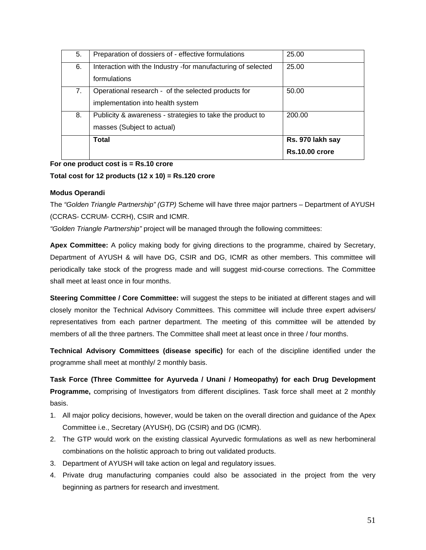| 5. | Preparation of dossiers of - effective formulations          | 25.00                 |
|----|--------------------------------------------------------------|-----------------------|
| 6. | Interaction with the Industry -for manufacturing of selected | 25.00                 |
|    | formulations                                                 |                       |
| 7. | Operational research - of the selected products for          | 50.00                 |
|    | implementation into health system                            |                       |
| 8. | Publicity & awareness - strategies to take the product to    | 200.00                |
|    | masses (Subject to actual)                                   |                       |
|    | Total                                                        | Rs. 970 lakh say      |
|    |                                                              | <b>Rs.10.00 crore</b> |

### **For one product cost is = Rs.10 crore**

### **Total cost for 12 products (12 x 10) = Rs.120 crore**

### **Modus Operandi**

The *"Golden Triangle Partnership" (GTP)* Scheme will have three major partners – Department of AYUSH (CCRAS- CCRUM- CCRH), CSIR and ICMR.

*"Golden Triangle Partnership"* project will be managed through the following committees:

**Apex Committee:** A policy making body for giving directions to the programme, chaired by Secretary, Department of AYUSH & will have DG, CSIR and DG, ICMR as other members. This committee will periodically take stock of the progress made and will suggest mid-course corrections. The Committee shall meet at least once in four months.

**Steering Committee / Core Committee:** will suggest the steps to be initiated at different stages and will closely monitor the Technical Advisory Committees. This committee will include three expert advisers/ representatives from each partner department. The meeting of this committee will be attended by members of all the three partners. The Committee shall meet at least once in three / four months.

**Technical Advisory Committees (disease specific)** for each of the discipline identified under the programme shall meet at monthly/ 2 monthly basis.

**Task Force (Three Committee for Ayurveda / Unani / Homeopathy) for each Drug Development Programme,** comprising of Investigators from different disciplines. Task force shall meet at 2 monthly basis.

- 1. All major policy decisions, however, would be taken on the overall direction and guidance of the Apex Committee i.e., Secretary (AYUSH), DG (CSIR) and DG (ICMR).
- 2. The GTP would work on the existing classical Ayurvedic formulations as well as new herbomineral combinations on the holistic approach to bring out validated products.
- 3. Department of AYUSH will take action on legal and regulatory issues.
- 4. Private drug manufacturing companies could also be associated in the project from the very beginning as partners for research and investment.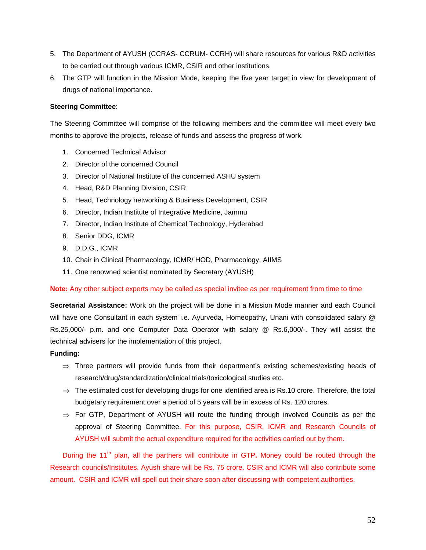- 5. The Department of AYUSH (CCRAS- CCRUM- CCRH) will share resources for various R&D activities to be carried out through various ICMR, CSIR and other institutions.
- 6. The GTP will function in the Mission Mode, keeping the five year target in view for development of drugs of national importance.

### **Steering Committee**:

The Steering Committee will comprise of the following members and the committee will meet every two months to approve the projects, release of funds and assess the progress of work.

- 1. Concerned Technical Advisor
- 2. Director of the concerned Council
- 3. Director of National Institute of the concerned ASHU system
- 4. Head, R&D Planning Division, CSIR
- 5. Head, Technology networking & Business Development, CSIR
- 6. Director, Indian Institute of Integrative Medicine, Jammu
- 7. Director, Indian Institute of Chemical Technology, Hyderabad
- 8. Senior DDG, ICMR
- 9. D.D.G., ICMR
- 10. Chair in Clinical Pharmacology, ICMR/ HOD, Pharmacology, AIIMS
- 11. One renowned scientist nominated by Secretary (AYUSH)

**Note:** Any other subject experts may be called as special invitee as per requirement from time to time

**Secretarial Assistance:** Work on the project will be done in a Mission Mode manner and each Council will have one Consultant in each system i.e. Ayurveda, Homeopathy, Unani with consolidated salary @ Rs.25,000/- p.m. and one Computer Data Operator with salary @ Rs.6,000/-. They will assist the technical advisers for the implementation of this project.

#### **Funding:**

- ⇒ Three partners will provide funds from their department's existing schemes/existing heads of research/drug/standardization/clinical trials/toxicological studies etc.
- $\Rightarrow$  The estimated cost for developing drugs for one identified area is Rs.10 crore. Therefore, the total budgetary requirement over a period of 5 years will be in excess of Rs. 120 crores.
- $\Rightarrow$  For GTP, Department of AYUSH will route the funding through involved Councils as per the approval of Steering Committee. For this purpose, CSIR, ICMR and Research Councils of AYUSH will submit the actual expenditure required for the activities carried out by them.

During the 11<sup>th</sup> plan, all the partners will contribute in GTP. Money could be routed through the Research councils/Institutes. Ayush share will be Rs. 75 crore. CSIR and ICMR will also contribute some amount. CSIR and ICMR will spell out their share soon after discussing with competent authorities.